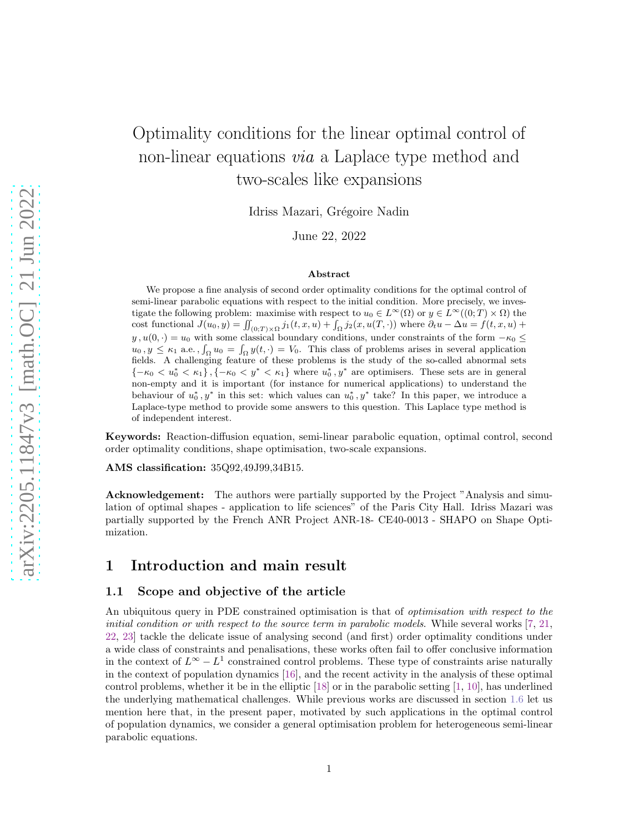# Optimality conditions for the linear optimal control of non-linear equations via a Laplace type method and two-scales like expansions

Idriss Mazari, Grégoire Nadin

June 22, 2022

#### Abstract

We propose a fine analysis of second order optimality conditions for the optimal control of semi-linear parabolic equations with respect to the initial condition. More precisely, we investigate the following problem: maximise with respect to  $u_0 \in L^{\infty}(\Omega)$  or  $y \in L^{\infty}((0,T) \times \Omega)$  the cost functional  $J(u_0, y) = \iint_{(0,T)\times\Omega} j_1(t, x, u) + \int_{\Omega} j_2(x, u(T, \cdot))$  where  $\partial_t u - \Delta u = f(t, x, u) +$  $y, u(0, \cdot) = u_0$  with some classical boundary conditions, under constraints of the form  $-\kappa_0 \leq$  $u_0, y \le \kappa_1$  a.e.,  $\int_{\Omega} u_0 = \int_{\Omega} y(t, \cdot) = V_0$ . This class of problems arises in several application fields. A challenging feature of these problems is the study of the so-called abnormal sets  ${-\kappa_0 < u_0^* < \kappa_1}, {-\kappa_0 < y^* < \kappa_1}$  where  $u_0^*, y^*$  are optimisers. These sets are in general non-empty and it is important (for instance for numerical applications) to understand the behaviour of  $u_0^*, y^*$  in this set: which values can  $u_0^*, y^*$  take? In this paper, we introduce a Laplace-type method to provide some answers to this question. This Laplace type method is of independent interest.

Keywords: Reaction-diffusion equation, semi-linear parabolic equation, optimal control, second order optimality conditions, shape optimisation, two-scale expansions.

AMS classification: 35Q92,49J99,34B15.

Acknowledgement: The authors were partially supported by the Project "Analysis and simulation of optimal shapes - application to life sciences" of the Paris City Hall. Idriss Mazari was partially supported by the French ANR Project ANR-18- CE40-0013 - SHAPO on Shape Optimization.

# 1 Introduction and main result

### 1.1 Scope and objective of the article

An ubiquitous query in PDE constrained optimisation is that of optimisation with respect to the initial condition or with respect to the source term in parabolic models. While several works  $[7, 21,$  $[7, 21,$ [22,](#page-26-1) [23\]](#page-26-2) tackle the delicate issue of analysing second (and first) order optimality conditions under a wide class of constraints and penalisations, these works often fail to offer conclusive information in the context of  $L^{\infty} - L^{1}$  constrained control problems. These type of constraints arise naturally in the context of population dynamics [\[16\]](#page-26-3), and the recent activity in the analysis of these optimal control problems, whether it be in the elliptic [\[18\]](#page-26-4) or in the parabolic setting [\[1,](#page-25-1) [10\]](#page-26-5), has underlined the underlying mathematical challenges. While previous works are discussed in section [1.6](#page-7-0) let us mention here that, in the present paper, motivated by such applications in the optimal control of population dynamics, we consider a general optimisation problem for heterogeneous semi-linear parabolic equations.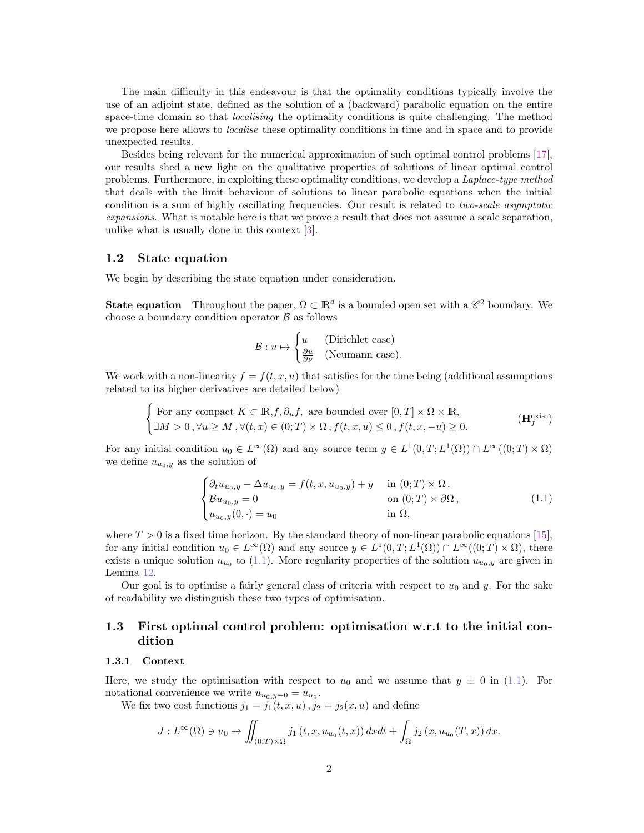The main difficulty in this endeavour is that the optimality conditions typically involve the use of an adjoint state, defined as the solution of a (backward) parabolic equation on the entire space-time domain so that *localising* the optimality conditions is quite challenging. The method we propose here allows to localise these optimality conditions in time and in space and to provide unexpected results.

Besides being relevant for the numerical approximation of such optimal control problems [\[17\]](#page-26-6), our results shed a new light on the qualitative properties of solutions of linear optimal control problems. Furthermore, in exploiting these optimality conditions, we develop a *Laplace-type method* that deals with the limit behaviour of solutions to linear parabolic equations when the initial condition is a sum of highly oscillating frequencies. Our result is related to two-scale asymptotic expansions. What is notable here is that we prove a result that does not assume a scale separation, unlike what is usually done in this context [\[3\]](#page-25-2).

#### 1.2 State equation

We begin by describing the state equation under consideration.

**State equation** Throughout the paper,  $\Omega \subset \mathbb{R}^d$  is a bounded open set with a  $\mathscr{C}^2$  boundary. We choose a boundary condition operator  $\beta$  as follows

<span id="page-1-1"></span>
$$
\mathcal{B}: u \mapsto \begin{cases} u & \text{(Dirichlet case)}\\ \frac{\partial u}{\partial \nu} & \text{(Neumann case)} \end{cases}
$$

We work with a non-linearity  $f = f(t, x, u)$  that satisfies for the time being (additional assumptions related to its higher derivatives are detailed below)

$$
\begin{cases}\n\text{For any compact } K \subset \mathbb{R}, f, \partial_u f, \text{ are bounded over } [0, T] \times \Omega \times \mathbb{R}, \\
\exists M > 0, \forall u \ge M, \forall (t, x) \in (0; T) \times \Omega, f(t, x, u) \le 0, f(t, x, -u) \ge 0.\n\end{cases} \tag{Hfexist}
$$

For any initial condition  $u_0 \in L^{\infty}(\Omega)$  and any source term  $y \in L^1(0,T;L^1(\Omega)) \cap L^{\infty}((0,T) \times \Omega)$ we define  $u_{u_0,y}$  as the solution of

<span id="page-1-0"></span>
$$
\begin{cases}\n\partial_t u_{u_0,y} - \Delta u_{u_0,y} = f(t, x, u_{u_0,y}) + y & \text{in } (0;T) \times \Omega, \\
\mathcal{B} u_{u_0,y} = 0 & \text{on } (0;T) \times \partial\Omega, \\
u_{u_0,y}(0, \cdot) = u_0 & \text{in } \Omega,\n\end{cases}
$$
\n(1.1)

where  $T > 0$  is a fixed time horizon. By the standard theory of non-linear parabolic equations [\[15\]](#page-26-7), for any initial condition  $u_0 \in L^{\infty}(\Omega)$  and any source  $y \in L^1(0,T;L^1(\Omega)) \cap L^{\infty}((0,T) \times \Omega)$ , there exists a unique solution  $u_{u_0}$  to [\(1.1\)](#page-1-0). More regularity properties of the solution  $u_{u_0,y}$  are given in Lemma [12.](#page-20-0)

Our goal is to optimise a fairly general class of criteria with respect to  $u_0$  and y. For the sake of readability we distinguish these two types of optimisation.

# 1.3 First optimal control problem: optimisation w.r.t to the initial condition

### 1.3.1 Context

Here, we study the optimisation with respect to  $u_0$  and we assume that  $y \equiv 0$  in [\(1.1\)](#page-1-0). For notational convenience we write  $u_{u_0,y\equiv 0} = u_{u_0}$ .

We fix two cost functions  $j_1 = j_1(t, x, u)$ ,  $j_2 = j_2(x, u)$  and define

$$
J: L^{\infty}(\Omega) \ni u_0 \mapsto \iint_{(0;T)\times\Omega} j_1(t,x, u_{u_0}(t,x)) dx dt + \int_{\Omega} j_2(x, u_{u_0}(T,x)) dx.
$$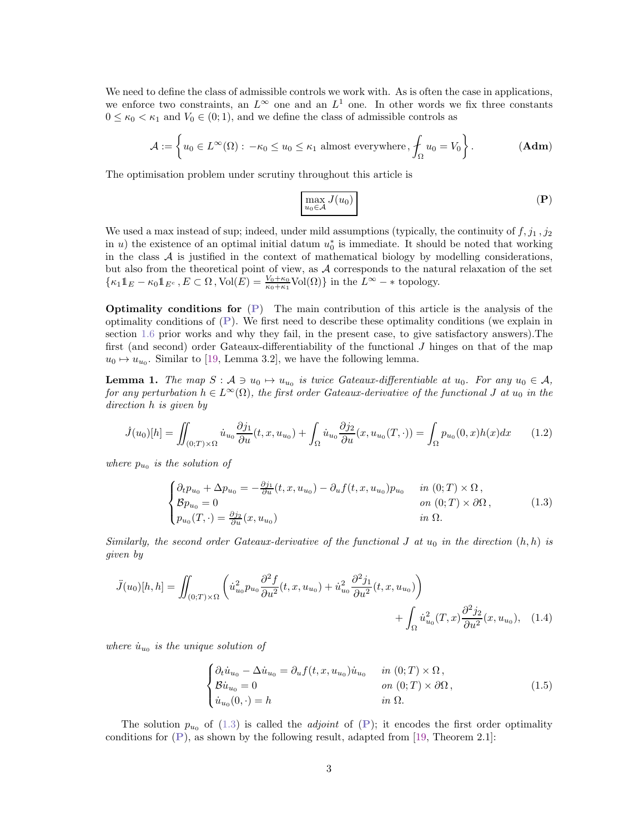We need to define the class of admissible controls we work with. As is often the case in applications, we enforce two constraints, an  $L^{\infty}$  one and an  $L^{1}$  one. In other words we fix three constants  $0 \leq \kappa_0 < \kappa_1$  and  $V_0 \in (0, 1)$ , and we define the class of admissible controls as

$$
\mathcal{A} := \left\{ u_0 \in L^{\infty}(\Omega) : -\kappa_0 \le u_0 \le \kappa_1 \text{ almost everywhere}, \oint_{\Omega} u_0 = V_0 \right\}.
$$
 (Adm)

The optimisation problem under scrutiny throughout this article is

<span id="page-2-3"></span><span id="page-2-0"></span>
$$
\max_{u_0 \in \mathcal{A}} J(u_0) \tag{P}
$$

We used a max instead of sup; indeed, under mild assumptions (typically, the continuity of  $f, j_1, j_2$ ) in u) the existence of an optimal initial datum  $u_0^*$  is immediate. It should be noted that working in the class  $A$  is justified in the context of mathematical biology by modelling considerations, but also from the theoretical point of view, as A corresponds to the natural relaxation of the set  $\{\kappa_1 \mathbb{1}_E - \kappa_0 \mathbb{1}_{E^c}, E \subset \Omega, \text{Vol}(E) = \frac{V_0 + \kappa_0}{\kappa_0 + \kappa_1} \text{Vol}(\Omega)\}\$ in the  $L^{\infty} - *$  topology.

Optimality conditions for ([P](#page-2-0)) The main contribution of this article is the analysis of the optimality conditions of  $(P)$  $(P)$  $(P)$ . We first need to describe these optimality conditions (we explain in section [1.6](#page-7-0) prior works and why they fail, in the present case, to give satisfactory answers).The first (and second) order Gateaux-differentiability of the functional J hinges on that of the map  $u_0 \mapsto u_{u_0}$ . Similar to [\[19,](#page-26-8) Lemma 3.2], we have the following lemma.

<span id="page-2-2"></span>**Lemma 1.** The map  $S : A \ni u_0 \mapsto u_{u_0}$  is twice Gateaux-differentiable at  $u_0$ . For any  $u_0 \in A$ , for any perturbation  $h \in L^{\infty}(\Omega)$ , the first order Gateaux-derivative of the functional J at  $u_0$  in the direction h is given by

$$
\dot{J}(u_0)[h] = \iint_{(0,T)\times\Omega} \dot{u}_{u_0} \frac{\partial j_1}{\partial u}(t, x, u_{u_0}) + \int_{\Omega} \dot{u}_{u_0} \frac{\partial j_2}{\partial u}(x, u_{u_0}(T, \cdot)) = \int_{\Omega} p_{u_0}(0, x)h(x)dx \tag{1.2}
$$

where  $p_{u_0}$  is the solution of

<span id="page-2-1"></span>
$$
\begin{cases}\n\partial_t p_{u_0} + \Delta p_{u_0} = -\frac{\partial j_1}{\partial u}(t, x, u_{u_0}) - \partial_u f(t, x, u_{u_0}) p_{u_0} & \text{in } (0; T) \times \Omega, \\
\mathcal{B} p_{u_0} = 0 & \text{on } (0; T) \times \partial \Omega, \\
p_{u_0}(T, \cdot) = \frac{\partial j_2}{\partial u}(x, u_{u_0}) & \text{in } \Omega.\n\end{cases}
$$
\n(1.3)

Similarly, the second order Gateaux-derivative of the functional J at  $u_0$  in the direction  $(h, h)$  is given by

$$
\ddot{J}(u_0)[h, h] = \iint_{(0;T)\times\Omega} \left( \dot{u}_{u_0}^2 p_{u_0} \frac{\partial^2 f}{\partial u^2}(t, x, u_{u_0}) + \dot{u}_{u_0}^2 \frac{\partial^2 j_1}{\partial u^2}(t, x, u_{u_0}) \right) + \int_{\Omega} \dot{u}_{u_0}^2(T, x) \frac{\partial^2 j_2}{\partial u^2}(x, u_{u_0}), \quad (1.4)
$$

where  $\dot{u}_{u_0}$  is the unique solution of

<span id="page-2-4"></span>
$$
\begin{cases}\n\partial_t \dot{u}_{u_0} - \Delta \dot{u}_{u_0} = \partial_u f(t, x, u_{u_0}) \dot{u}_{u_0} & \text{in } (0; T) \times \Omega, \\
\mathcal{B} \dot{u}_{u_0} = 0 & \text{on } (0; T) \times \partial \Omega, \\
\dot{u}_{u_0}(0, \cdot) = h & \text{in } \Omega.\n\end{cases}
$$
\n(1.5)

The solution  $p_{u_0}$  of [\(1.3\)](#page-2-1) is called the *adjoint* of ([P](#page-2-0)); it encodes the first order optimality conditions for  $(P)$  $(P)$  $(P)$ , as shown by the following result, adapted from [\[19,](#page-26-8) Theorem 2.1]: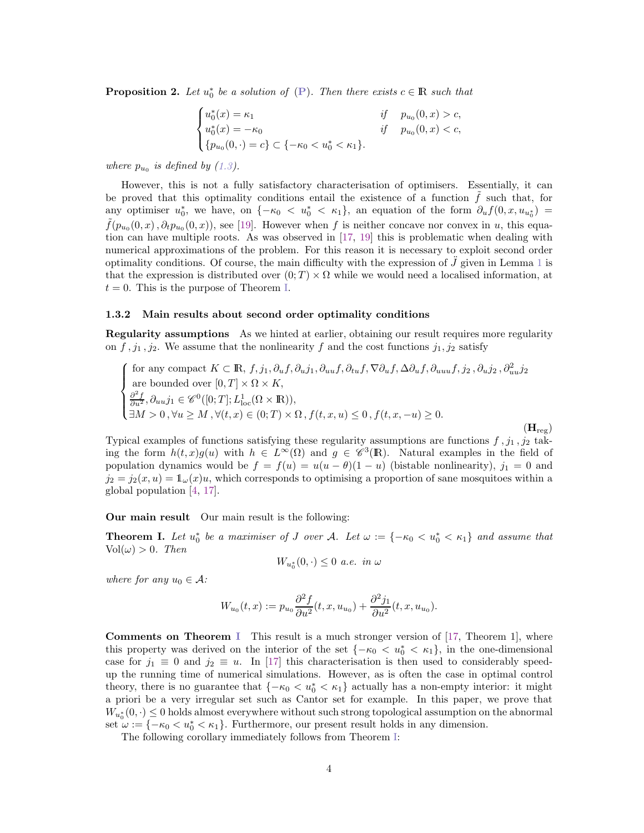**[P](#page-2-0)roposition 2.** Let  $u_0^*$  be a solution of  $(P)$ . Then there exists  $c \in \mathbb{R}$  such that

$$
\begin{cases} u_0^*(x) = \kappa_1 & \text{if } p_{u_0}(0, x) > c, \\ u_0^*(x) = -\kappa_0 & \text{if } p_{u_0}(0, x) < c, \\ \{p_{u_0}(0, \cdot) = c\} \subset \{-\kappa_0 < u_0^* < \kappa_1\}. \end{cases}
$$

where  $p_{u_0}$  is defined by [\(1.3\)](#page-2-1).

However, this is not a fully satisfactory characterisation of optimisers. Essentially, it can be proved that this optimality conditions entail the existence of a function  $f$  such that, for any optimiser  $u_0^*$ , we have, on  $\{-\kappa_0 < u_0^* < \kappa_1\}$ , an equation of the form  $\partial_u f(0, x, u_{u_0^*}) =$  $\tilde{f}(p_{u_0}(0,x),\partial_t p_{u_0}(0,x))$ , see [\[19\]](#page-26-8). However when f is neither concave nor convex in u, this equation can have multiple roots. As was observed in [\[17,](#page-26-6) [19\]](#page-26-8) this is problematic when dealing with numerical approximations of the problem. For this reason it is necessary to exploit second order optimality conditions. Of course, the main difficulty with the expression of  $\tilde{J}$  given in Lemma [1](#page-2-2) is that the expression is distributed over  $(0; T) \times \Omega$  while we would need a localised information, at  $t = 0$ . This is the purpose of Theorem [I.](#page-3-0)

#### 1.3.2 Main results about second order optimality conditions

**Regularity assumptions** As we hinted at earlier, obtaining our result requires more regularity on  $f$ ,  $j_1$ ,  $j_2$ . We assume that the nonlinearity f and the cost functions  $j_1$ ,  $j_2$  satisfy

for any compact 
$$
K \subset \mathbb{R}
$$
,  $f, j_1, \partial_u f, \partial_u j_1, \partial_{uu} f, \partial_{tt} f, \nabla \partial_u f, \Delta \partial_u f, \partial_{uuu} f, j_2, \partial_u j_2, \partial_u^2 j_2$   
are bounded over  $[0, T] \times \Omega \times K$ ,  

$$
\begin{cases} \frac{\partial^2 f}{\partial u^2}, \partial_{uu} j_1 \in \mathscr{C}^0([0; T]; L^1_{\text{loc}}(\Omega \times \mathbb{R})), \\ \exists M > 0, \forall u \ge M, \forall (t, x) \in (0; T) \times \Omega, f(t, x, u) \le 0, f(t, x, -u) \ge 0. \end{cases}
$$

<span id="page-3-1"></span> $(\mathbf{H}_{\text{reg}})$ 

Typical examples of functions satisfying these regularity assumptions are functions  $f, j_1, j_2$  taking the form  $h(t,x)g(u)$  with  $h \in L^{\infty}(\Omega)$  and  $g \in \mathscr{C}^3(\mathbb{R})$ . Natural examples in the field of population dynamics would be  $f = f(u) = u(u - \theta)(1 - u)$  (bistable nonlinearity),  $j_1 = 0$  and  $j_2 = j_2(x, u) = \mathbb{1}_{\omega}(x)u$ , which corresponds to optimising a proportion of sane mosquitoes within a global population [\[4,](#page-25-3) [17\]](#page-26-6).

#### Our main result Our main result is the following:

<span id="page-3-0"></span>**Theorem I.** Let  $u_0^*$  be a maximiser of J over A. Let  $\omega := \{-\kappa_0 < u_0^* < \kappa_1\}$  and assume that  $Vol(\omega) > 0$ . Then

$$
W_{u_0^*}(0,\cdot)\leq 0\ a.e.\ in\ \omega
$$

where for any  $u_0 \in \mathcal{A}$ :

$$
W_{u_0}(t,x) := p_{u_0} \frac{\partial^2 f}{\partial u^2}(t,x, u_{u_0}) + \frac{\partial^2 j_1}{\partial u^2}(t,x, u_{u_0}).
$$

**Comments on Theorem [I](#page-3-0)** This result is a much stronger version of  $[17,$  Theorem 1], where this property was derived on the interior of the set  ${-\kappa_0 < u_0^* < \kappa_1}$ , in the one-dimensional case for  $j_1 \equiv 0$  and  $j_2 \equiv u$ . In [\[17\]](#page-26-6) this characterisation is then used to considerably speedup the running time of numerical simulations. However, as is often the case in optimal control theory, there is no guarantee that  ${-\kappa_0 < u_0^* < \kappa_1}$  actually has a non-empty interior: it might a priori be a very irregular set such as Cantor set for example. In this paper, we prove that  $W_{u_0^*}(0,\cdot) \leq 0$  holds almost everywhere without such strong topological assumption on the abnormal set  $\omega := \{-\kappa_0 < u_0^* < \kappa_1\}$ . Furthermore, our present result holds in any dimension.

The following corollary immediately follows from Theorem [I:](#page-3-0)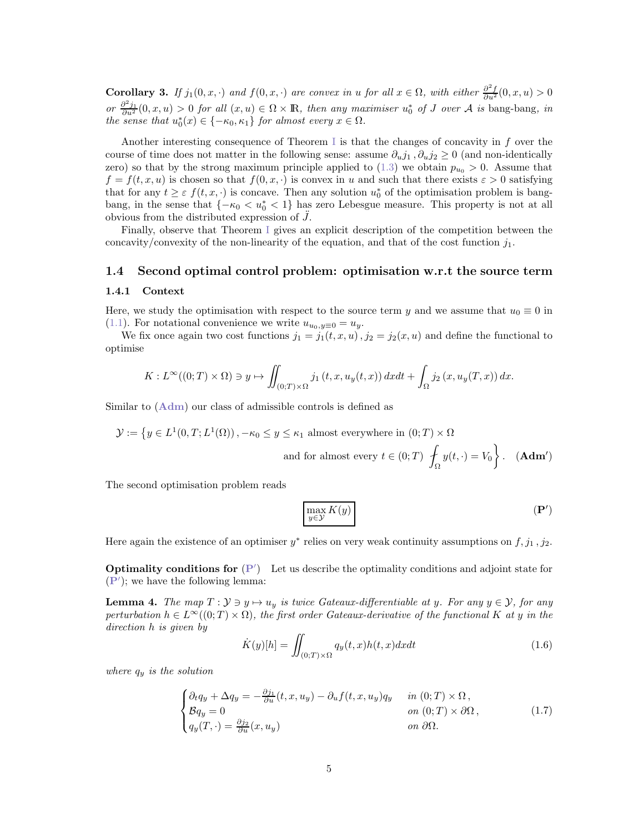**Corollary 3.** If  $j_1(0, x, \cdot)$  and  $f(0, x, \cdot)$  are convex in u for all  $x \in \Omega$ , with either  $\frac{\partial^2 f}{\partial u^2}(0, x, u) > 0$ or  $\frac{\partial^2 j_1}{\partial u^2}(0, x, u) > 0$  for all  $(x, u) \in \Omega \times \mathbb{R}$ , then any maximiser  $u_0^*$  of J over A is bang-bang, in the sense that  $u_0^*(x) \in \{-\kappa_0, \kappa_1\}$  for almost every  $x \in \Omega$ .

Another interesting consequence of Theorem [I](#page-3-0) is that the changes of concavity in f over the course of time does not matter in the following sense: assume  $\partial_u j_1, \partial_u j_2 \geq 0$  (and non-identically zero) so that by the strong maximum principle applied to  $(1.3)$  we obtain  $p_{u_0} > 0$ . Assume that  $f = f(t, x, u)$  is chosen so that  $f(0, x, \cdot)$  is convex in u and such that there exists  $\varepsilon > 0$  satisfying that for any  $t \geq \varepsilon$   $f(t, x, \cdot)$  is concave. Then any solution  $u_0^*$  of the optimisation problem is bangbang, in the sense that  ${-\kappa_0 < u_0^* < 1}$  has zero Lebesgue measure. This property is not at all obvious from the distributed expression of  $J$ .

Finally, observe that Theorem [I](#page-3-0) gives an explicit description of the competition between the concavity/convexity of the non-linearity of the equation, and that of the cost function  $j_1$ .

# 1.4 Second optimal control problem: optimisation w.r.t the source term

#### 1.4.1 Context

Here, we study the optimisation with respect to the source term y and we assume that  $u_0 \equiv 0$  in [\(1.1\)](#page-1-0). For notational convenience we write  $u_{u_0,y=0} = u_y$ .

We fix once again two cost functions  $j_1 = j_1(t, x, u)$ ,  $j_2 = j_2(x, u)$  and define the functional to optimise

$$
K: L^{\infty}((0;T) \times \Omega) \ni y \mapsto \iint_{(0;T) \times \Omega} j_1(t,x,u_y(t,x)) dx dt + \int_{\Omega} j_2(x,u_y(T,x)) dx.
$$

Similar to ([Adm](#page-2-3)) our class of admissible controls is defined as

$$
\mathcal{Y} := \left\{ y \in L^1(0, T; L^1(\Omega)) \, , -\kappa_0 \le y \le \kappa_1 \text{ almost everywhere in } (0; T) \times \Omega \right\}
$$
  
and for almost every  $t \in (0; T) \left\{ \int_{\Omega} y(t, \cdot) = V_0 \right\}$ . (Adm')

The second optimisation problem reads

<span id="page-4-0"></span>
$$
\max_{y \in \mathcal{Y}} K(y) \tag{P'}
$$

Here again the existence of an optimiser  $y^*$  relies on very weak continuity assumptions on  $f, j_1, j_2$ .

**Optimality conditions for**  $(P')$  $(P')$  $(P')$  Let us describe the optimality conditions and adjoint state for ([P](#page-4-0)′ ); we have the following lemma:

**Lemma 4.** The map  $T : \mathcal{Y} \ni y \mapsto u_y$  is twice Gateaux-differentiable at y. For any  $y \in \mathcal{Y}$ , for any perturbation  $h \in L^{\infty}((0,T) \times \Omega)$ , the first order Gateaux-derivative of the functional K at y in the direction h is given by

$$
\dot{K}(y)[h] = \iint_{(0;T)\times\Omega} q_y(t,x)h(t,x)dxdt
$$
\n(1.6)

where  $q_y$  is the solution

<span id="page-4-1"></span>
$$
\begin{cases}\n\partial_t q_y + \Delta q_y = -\frac{\partial j_1}{\partial u}(t, x, u_y) - \partial_u f(t, x, u_y) q_y & \text{in } (0; T) \times \Omega, \\
\mathcal{B}q_y = 0 & \text{on } (0; T) \times \partial\Omega, \\
q_y(T, \cdot) = \frac{\partial j_2}{\partial u}(x, u_y) & \text{on } \partial\Omega.\n\end{cases}
$$
\n(1.7)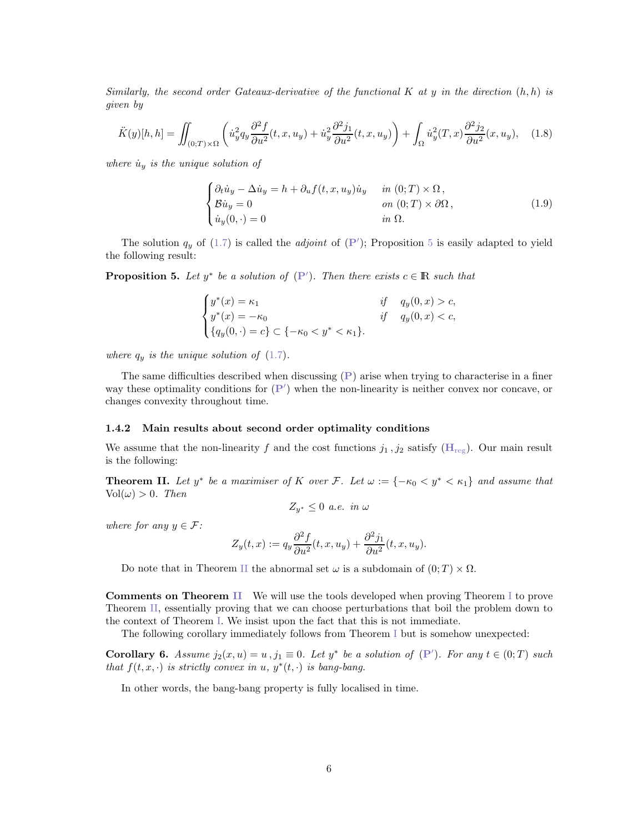Similarly, the second order Gateaux-derivative of the functional K at y in the direction  $(h, h)$  is given by

$$
\ddot{K}(y)[h,h] = \iint_{(0,T)\times\Omega} \left( \dot{u}_y^2 q_y \frac{\partial^2 f}{\partial u^2}(t,x,u_y) + \dot{u}_y^2 \frac{\partial^2 j_1}{\partial u^2}(t,x,u_y) \right) + \int_{\Omega} \dot{u}_y^2(T,x) \frac{\partial^2 j_2}{\partial u^2}(x,u_y), \quad (1.8)
$$

where  $\dot{u}_y$  is the unique solution of

<span id="page-5-2"></span>
$$
\begin{cases}\n\partial_t \dot{u}_y - \Delta \dot{u}_y = h + \partial_u f(t, x, u_y) \dot{u}_y & \text{in } (0; T) \times \Omega, \\
\mathcal{B} \dot{u}_y = 0 & \text{on } (0; T) \times \partial \Omega, \\
\dot{u}_y(0, \cdot) = 0 & \text{in } \Omega.\n\end{cases}
$$
\n(1.9)

The solution  $q_y$  of [\(1.7\)](#page-4-1) is called the *adjoint* of  $(P')$  $(P')$  $(P')$ ; Proposition [5](#page-5-0) is easily adapted to yield the following result:

<span id="page-5-0"></span>**[P](#page-4-0)roposition 5.** Let  $y^*$  be a solution of  $(P')$ . Then there exists  $c \in \mathbb{R}$  such that

$$
\begin{cases}\ny^*(x) = \kappa_1 & \text{if } q_y(0, x) > c, \\
y^*(x) = -\kappa_0 & \text{if } q_y(0, x) < c, \\
\{q_y(0, \cdot) = c\} \subset \{-\kappa_0 < y^* < \kappa_1\}.\n\end{cases}
$$

where  $q_y$  is the unique solution of  $(1.7)$ .

The same difficulties described when discussing  $(P)$  $(P)$  $(P)$  arise when trying to characterise in a finer way these optimality conditions for  $(P')$  $(P')$  $(P')$  when the non-linearity is neither convex nor concave, or changes convexity throughout time.

### 1.4.2 Main results about second order optimality conditions

We assume that the non-linearity f and the cost functions  $j_1, j_2$  satisfy  $(H_{reg})$  $(H_{reg})$  $(H_{reg})$ . Our main result is the following:

<span id="page-5-1"></span>**Theorem II.** Let  $y^*$  be a maximiser of K over F. Let  $\omega := \{-\kappa_0 \lt y^* \lt \kappa_1\}$  and assume that  $Vol(\omega) > 0$ . Then

$$
Z_{y^*} \leq 0 \ a.e. \ in \ \omega
$$

where for any  $y \in \mathcal{F}$ :

$$
Z_y(t,x) := q_y \frac{\partial^2 f}{\partial u^2}(t,x,u_y) + \frac{\partial^2 j_1}{\partial u^2}(t,x,u_y).
$$

Do note that in Theorem [II](#page-5-1) the abnormal set  $\omega$  is a subdomain of  $(0; T) \times \Omega$ .

Comments on Theorem [II](#page-5-1) We will use the tools developed when proving Theorem [I](#page-3-0) to prove Theorem [II,](#page-5-1) essentially proving that we can choose perturbations that boil the problem down to the context of Theorem [I.](#page-3-0) We insist upon the fact that this is not immediate.

The following corollary immediately follows from Theorem [I](#page-3-0) but is somehow unexpected:

**Corollary 6.** Assume  $j_2(x, u) = u$ ,  $j_1 \equiv 0$ . Let  $y^*$  be a solution of  $(P')$  $(P')$  $(P')$ . For any  $t \in (0, T)$  such that  $f(t, x, \cdot)$  is strictly convex in u,  $y^*(t, \cdot)$  is bang-bang.

In other words, the bang-bang property is fully localised in time.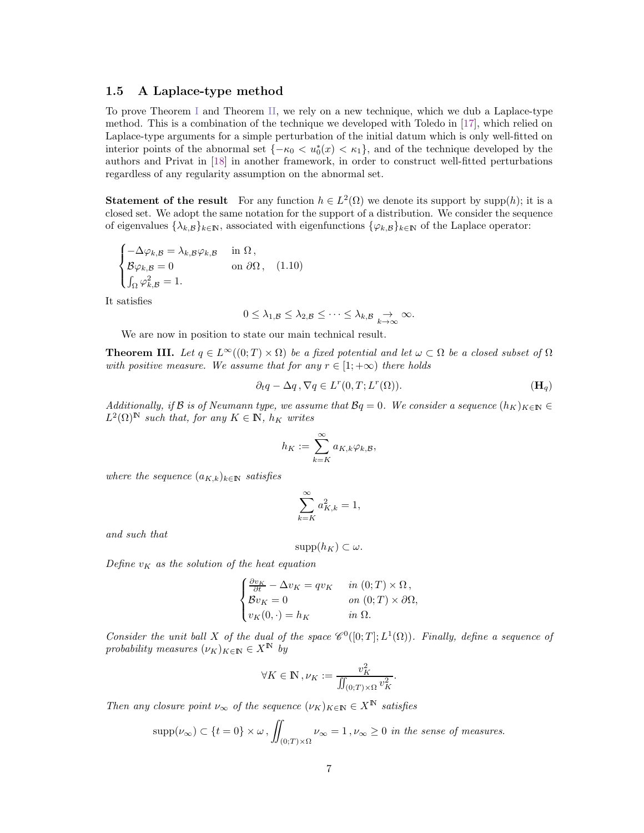### 1.5 A Laplace-type method

To prove Theorem [I](#page-3-0) and Theorem [II,](#page-5-1) we rely on a new technique, which we dub a Laplace-type method. This is a combination of the technique we developed with Toledo in [\[17\]](#page-26-6), which relied on Laplace-type arguments for a simple perturbation of the initial datum which is only well-fitted on interior points of the abnormal set  ${-\kappa_0 < u_0^*(x) < \kappa_1}$ , and of the technique developed by the authors and Privat in [\[18\]](#page-26-4) in another framework, in order to construct well-fitted perturbations regardless of any regularity assumption on the abnormal set.

**Statement of the result** For any function  $h \in L^2(\Omega)$  we denote its support by supp $(h)$ ; it is a closed set. We adopt the same notation for the support of a distribution. We consider the sequence of eigenvalues  $\{\lambda_k, \mathcal{B}\}_{k\in\mathbb{N}}$ , associated with eigenfunctions  $\{\varphi_k, \mathcal{B}\}_{k\in\mathbb{N}}$  of the Laplace operator:

$$
\begin{cases}\n-\Delta \varphi_{k,\mathcal{B}} = \lambda_{k,\mathcal{B}} \varphi_{k,\mathcal{B}} & \text{in } \Omega, \\
\mathcal{B} \varphi_{k,\mathcal{B}} = 0 & \text{on } \partial \Omega, \\
\int_{\Omega} \varphi_{k,\mathcal{B}}^2 = 1.\n\end{cases}
$$
\n(1.10)

It satisfies

$$
0 \leq \lambda_{1,\mathcal{B}} \leq \lambda_{2,\mathcal{B}} \leq \cdots \leq \lambda_{k,\mathcal{B}} \underset{k \to \infty}{\to} \infty.
$$

We are now in position to state our main technical result.

<span id="page-6-0"></span>**Theorem III.** Let  $q \in L^{\infty}((0; T) \times \Omega)$  be a fixed potential and let  $\omega \subset \Omega$  be a closed subset of  $\Omega$ with positive measure. We assume that for any  $r \in [1; +\infty)$  there holds

$$
\partial_t q - \Delta q, \nabla q \in L^r(0, T; L^r(\Omega)).
$$
\n
$$
(H_q)
$$

Additionally, if B is of Neumann type, we assume that  $\mathcal{B}q = 0$ . We consider a sequence  $(h_K)_{K \in \mathbb{N}} \in$  $L^2(\Omega)^\mathbb{N}$  such that, for any  $K \in \mathbb{N}$ ,  $h_K$  writes

<span id="page-6-1"></span>
$$
h_K := \sum_{k=K}^{\infty} a_{K,k} \varphi_{k,\mathcal{B}},
$$

where the sequence  $(a_{K,k})_{k\in\mathbb{N}}$  satisfies

$$
\sum_{k=K}^{\infty} a_{K,k}^2 = 1,
$$

and such that

$$
supp(h_K) \subset \omega.
$$

Define  $v_K$  as the solution of the heat equation

$$
\begin{cases}\n\frac{\partial v_K}{\partial t} - \Delta v_K = qv_K & \text{in } (0; T) \times \Omega, \\
\mathcal{B}v_K = 0 & \text{on } (0; T) \times \partial\Omega, \\
v_K(0, \cdot) = h_K & \text{in } \Omega.\n\end{cases}
$$

Consider the unit ball X of the dual of the space  $\mathscr{C}^0([0;T];L^1(\Omega))$ . Finally, define a sequence of probability measures  $(\nu_K)_{K \in \mathbb{N}} \in X^{\mathbb{N}}$  by

$$
\forall K \in \mathbb{N}, \nu_K := \frac{v_K^2}{\iint_{(0;T) \times \Omega} v_K^2}.
$$

Then any closure point  $\nu_{\infty}$  of the sequence  $(\nu_K)_{K \in \mathbb{N}} \in X^{\mathbb{N}}$  satisfies

$$
supp(\nu_{\infty}) \subset \{t = 0\} \times \omega, \iint_{(0;T) \times \Omega} \nu_{\infty} = 1, \nu_{\infty} \ge 0 \text{ in the sense of measures.}
$$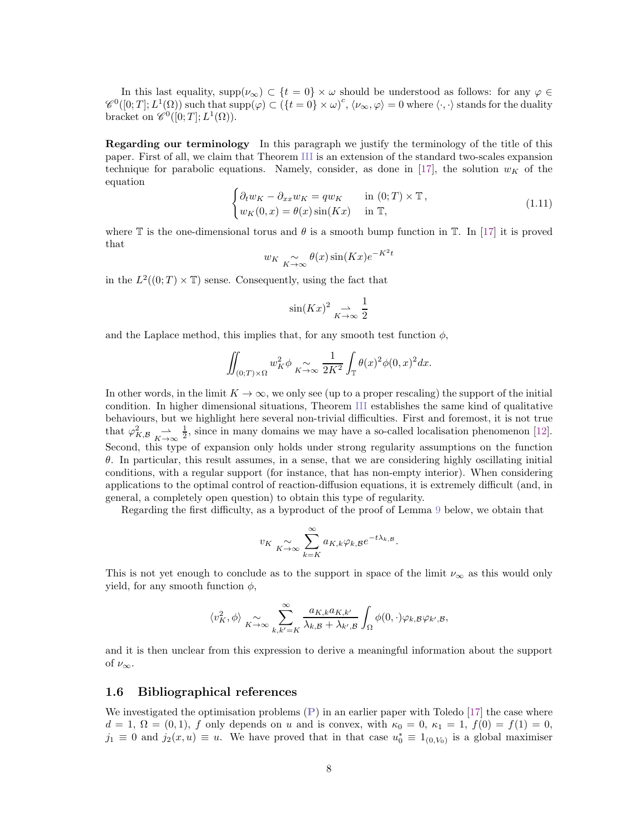In this last equality, supp $(\nu_{\infty}) \subset \{t = 0\} \times \omega$  should be understood as follows: for any  $\varphi \in$  $\mathscr{C}^0([0; T]; L^1(\Omega))$  such that  $\text{supp}(\varphi) \subset (\{t = 0\} \times \omega)^c, \langle \nu_\infty, \varphi \rangle = 0$  where  $\langle \cdot, \cdot \rangle$  stands for the duality bracket on  $\mathscr{C}^0([0;T];L^1(\Omega))$ .

Regarding our terminology In this paragraph we justify the terminology of the title of this paper. First of all, we claim that Theorem [III](#page-6-0) is an extension of the standard two-scales expansion technique for parabolic equations. Namely, consider, as done in [\[17\]](#page-26-6), the solution  $w_K$  of the equation

$$
\begin{cases} \partial_t w_K - \partial_{xx} w_K = q w_K & \text{in } (0;T) \times \mathbb{T}, \\ w_K(0,x) = \theta(x) \sin(Kx) & \text{in } \mathbb{T}, \end{cases}
$$
\n(1.11)

where  $\mathbb T$  is the one-dimensional torus and  $\theta$  is a smooth bump function in  $\mathbb T$ . In [\[17\]](#page-26-6) it is proved that

$$
w_K \underset{K \to \infty}{\sim} \theta(x) \sin(Kx) e^{-K^2 t}
$$

in the  $L^2((0; T) \times T)$  sense. Consequently, using the fact that

$$
\sin(Kx)^2 \underset{K \to \infty}{\rightharpoonup} \frac{1}{2}
$$

and the Laplace method, this implies that, for any smooth test function  $\phi$ ,

$$
\iint_{(0;T)\times\Omega} w_K^2 \phi \underset{K\to\infty}{\sim} \frac{1}{2K^2} \int_{\mathbb{T}} \theta(x)^2 \phi(0,x)^2 dx.
$$

In other words, in the limit  $K \to \infty$ , we only see (up to a proper rescaling) the support of the initial condition. In higher dimensional situations, Theorem [III](#page-6-0) establishes the same kind of qualitative behaviours, but we highlight here several non-trivial difficulties. First and foremost, it is not true that  $\varphi_{K,B}^2 \xrightarrow[K \to \infty]{} \frac{1}{2}$ , since in many domains we may have a so-called localisation phenomenon [\[12\]](#page-26-9). Second, this type of expansion only holds under strong regularity assumptions on the function θ. In particular, this result assumes, in a sense, that we are considering highly oscillating initial conditions, with a regular support (for instance, that has non-empty interior). When considering applications to the optimal control of reaction-diffusion equations, it is extremely difficult (and, in general, a completely open question) to obtain this type of regularity.

Regarding the first difficulty, as a byproduct of the proof of Lemma [9](#page-10-0) below, we obtain that

$$
v_K \underset{K \to \infty}{\sim} \sum_{k=K}^{\infty} a_{K,k} \varphi_{k,\mathcal{B}} e^{-t\lambda_{k,\mathcal{B}}}.
$$

This is not yet enough to conclude as to the support in space of the limit  $\nu_{\infty}$  as this would only yield, for any smooth function  $\phi$ ,

$$
\langle v_K^2, \phi \rangle \underset{K \to \infty}{\sim} \sum_{k, k'=K}^{\infty} \frac{a_{K,k} a_{K,k'}}{\lambda_{k,\mathcal{B}}+\lambda_{k',\mathcal{B}}} \int_{\Omega} \phi(0, \cdot) \varphi_{k,\mathcal{B}} \varphi_{k',\mathcal{B}},
$$

and it is then unclear from this expression to derive a meaningful information about the support of  $\nu_{\infty}$ .

### <span id="page-7-0"></span>1.6 Bibliographical references

We investigated the optimisation problems  $(P)$  $(P)$  $(P)$  in an earlier paper with Toledo [\[17\]](#page-26-6) the case where  $d = 1, \Omega = (0, 1), f$  only depends on u and is convex, with  $\kappa_0 = 0, \kappa_1 = 1, f(0) = f(1) = 0$ ,  $j_1 \equiv 0$  and  $j_2(x, u) \equiv u$ . We have proved that in that case  $u_0^* \equiv 1_{(0, V_0)}$  is a global maximiser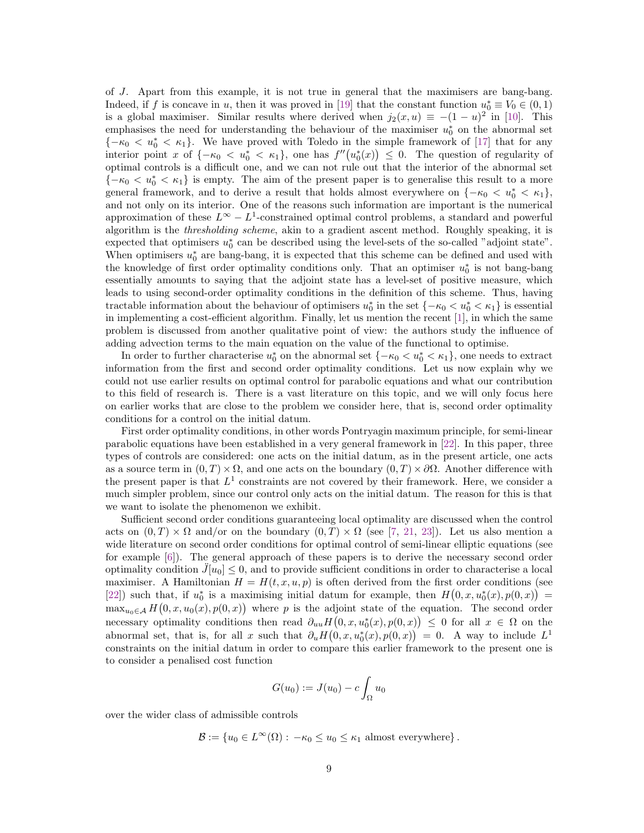of J. Apart from this example, it is not true in general that the maximisers are bang-bang. Indeed, if f is concave in u, then it was proved in [\[19\]](#page-26-8) that the constant function  $u_0^* \equiv V_0 \in (0,1)$ is a global maximiser. Similar results where derived when  $j_2(x, u) \equiv -(1 - u)^2$  in [\[10\]](#page-26-5). This emphasises the need for understanding the behaviour of the maximiser  $u_0^*$  on the abnormal set  ${-\kappa_0 < u_0^* < \kappa_1}.$  We have proved with Toledo in the simple framework of [\[17\]](#page-26-6) that for any interior point x of  $\{-\kappa_0 < u_0^* < \kappa_1\}$ , one has  $f''(u_0^*(x)) \leq 0$ . The question of regularity of optimal controls is a difficult one, and we can not rule out that the interior of the abnormal set  ${-\kappa_0 < u_0^* < \kappa_1}$  is empty. The aim of the present paper is to generalise this result to a more general framework, and to derive a result that holds almost everywhere on  ${-\kappa_0 < u_0^* < \kappa_1}$ , and not only on its interior. One of the reasons such information are important is the numerical approximation of these  $L^{\infty} - L^{1}$ -constrained optimal control problems, a standard and powerful algorithm is the thresholding scheme, akin to a gradient ascent method. Roughly speaking, it is expected that optimisers  $u_0^*$  can be described using the level-sets of the so-called "adjoint state". When optimisers  $u_0^*$  are bang-bang, it is expected that this scheme can be defined and used with the knowledge of first order optimality conditions only. That an optimiser  $u_0^*$  is not bang-bang essentially amounts to saying that the adjoint state has a level-set of positive measure, which leads to using second-order optimality conditions in the definition of this scheme. Thus, having tractable information about the behaviour of optimisers  $u_0^*$  in the set  $\{-\kappa_0 < u_0^* < \kappa_1\}$  is essential in implementing a cost-efficient algorithm. Finally, let us mention the recent [\[1\]](#page-25-1), in which the same problem is discussed from another qualitative point of view: the authors study the influence of adding advection terms to the main equation on the value of the functional to optimise.

In order to further characterise  $u_0^*$  on the abnormal set  $\{-\kappa_0 < u_0^* < \kappa_1\}$ , one needs to extract information from the first and second order optimality conditions. Let us now explain why we could not use earlier results on optimal control for parabolic equations and what our contribution to this field of research is. There is a vast literature on this topic, and we will only focus here on earlier works that are close to the problem we consider here, that is, second order optimality conditions for a control on the initial datum.

First order optimality conditions, in other words Pontryagin maximum principle, for semi-linear parabolic equations have been established in a very general framework in [\[22\]](#page-26-1). In this paper, three types of controls are considered: one acts on the initial datum, as in the present article, one acts as a source term in  $(0, T) \times \Omega$ , and one acts on the boundary  $(0, T) \times \partial \Omega$ . Another difference with the present paper is that  $L^1$  constraints are not covered by their framework. Here, we consider a much simpler problem, since our control only acts on the initial datum. The reason for this is that we want to isolate the phenomenon we exhibit.

Sufficient second order conditions guaranteeing local optimality are discussed when the control acts on  $(0, T) \times \Omega$  and/or on the boundary  $(0, T) \times \Omega$  (see [\[7,](#page-25-0) [21,](#page-26-0) [23\]](#page-26-2)). Let us also mention a wide literature on second order conditions for optimal control of semi-linear elliptic equations (see for example [\[6\]](#page-25-4)). The general approach of these papers is to derive the necessary second order optimality condition  $J[u_0] \leq 0$ , and to provide sufficient conditions in order to characterise a local maximiser. A Hamiltonian  $H = H(t, x, u, p)$  is often derived from the first order conditions (see [\[22\]](#page-26-1)) such that, if  $u_0^*$  is a maximising initial datum for example, then  $H(0, x, u_0^*(x), p(0, x)) =$  $\max_{u_0 \in A} H(0, x, u_0(x), p(0, x))$  where p is the adjoint state of the equation. The second order necessary optimality conditions then read  $\partial_{uu}H(0,x,u_0^*(x),p(0,x)) \leq 0$  for all  $x \in \Omega$  on the abnormal set, that is, for all x such that  $\partial_u H(0, x, u_0^*(x), p(0, x)) = 0$ . A way to include  $L^1$ constraints on the initial datum in order to compare this earlier framework to the present one is to consider a penalised cost function

$$
G(u_0) := J(u_0) - c \int_{\Omega} u_0
$$

over the wider class of admissible controls

$$
\mathcal{B} := \{ u_0 \in L^{\infty}(\Omega) : -\kappa_0 \le u_0 \le \kappa_1 \text{ almost everywhere} \}.
$$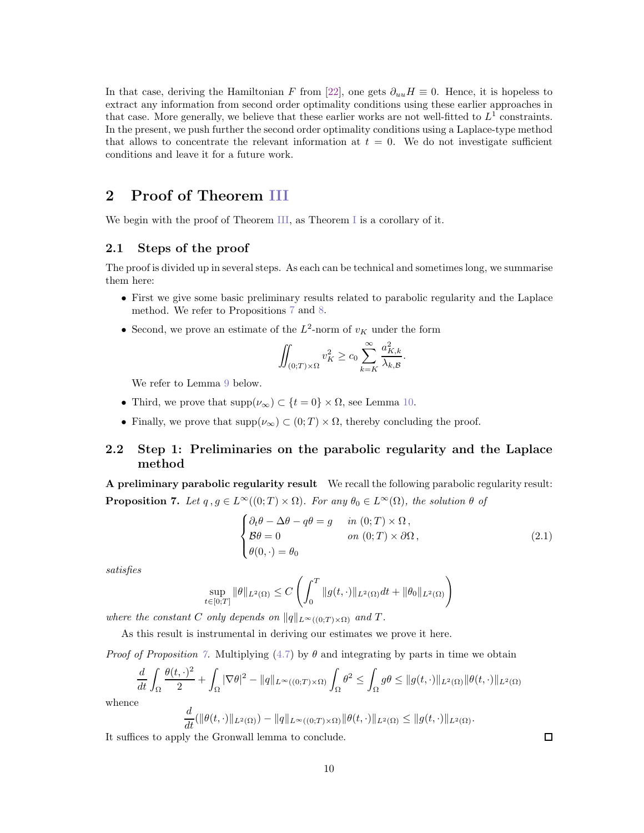In that case, deriving the Hamiltonian F from [\[22\]](#page-26-1), one gets  $\partial_{uu}H \equiv 0$ . Hence, it is hopeless to extract any information from second order optimality conditions using these earlier approaches in that case. More generally, we believe that these earlier works are not well-fitted to  $L^1$  constraints. In the present, we push further the second order optimality conditions using a Laplace-type method that allows to concentrate the relevant information at  $t = 0$ . We do not investigate sufficient conditions and leave it for a future work.

# 2 Proof of Theorem [III](#page-6-0)

We begin with the proof of Theorem [III,](#page-6-0) as Theorem [I](#page-3-0) is a corollary of it.

### 2.1 Steps of the proof

The proof is divided up in several steps. As each can be technical and sometimes long, we summarise them here:

- First we give some basic preliminary results related to parabolic regularity and the Laplace method. We refer to Propositions [7](#page-9-0) and [8.](#page-10-1)
- Second, we prove an estimate of the  $L^2$ -norm of  $v_K$  under the form

$$
\iint_{(0;T)\times\Omega} v_K^2 \ge c_0 \sum_{k=K}^{\infty} \frac{a_{K,k}^2}{\lambda_{k,\mathcal{B}}}.
$$

We refer to Lemma [9](#page-10-0) below.

- Third, we prove that  $\text{supp}(\nu_{\infty}) \subset \{t = 0\} \times \Omega$ , see Lemma [10.](#page-14-0)
- Finally, we prove that  $\text{supp}(\nu_{\infty}) \subset (0; T) \times \Omega$ , thereby concluding the proof.

## 2.2 Step 1: Preliminaries on the parabolic regularity and the Laplace method

<span id="page-9-0"></span>A preliminary parabolic regularity result We recall the following parabolic regularity result: **Proposition 7.** Let  $q, g \in L^{\infty}((0; T) \times \Omega)$ . For any  $\theta_0 \in L^{\infty}(\Omega)$ , the solution  $\theta$  of

$$
\begin{cases}\n\partial_t \theta - \Delta \theta - q\theta = g & \text{in } (0; T) \times \Omega, \\
\mathcal{B}\theta = 0 & \text{on } (0; T) \times \partial \Omega, \\
\theta(0, \cdot) = \theta_0\n\end{cases}
$$
\n(2.1)

satisfies

$$
\sup_{t \in [0;T]} \|\theta\|_{L^2(\Omega)} \le C \left( \int_0^T \|g(t,\cdot)\|_{L^2(\Omega)} dt + \|\theta_0\|_{L^2(\Omega)} \right)
$$

where the constant C only depends on  $||q||_{L^{\infty}((0,T)\times\Omega)}$  and T.

As this result is instrumental in deriving our estimates we prove it here.

*Proof of Proposition [7.](#page-9-0)* Multiplying  $(4.7)$  by  $\theta$  and integrating by parts in time we obtain

$$
\frac{d}{dt} \int_{\Omega} \frac{\theta(t,\cdot)^2}{2} + \int_{\Omega} |\nabla \theta|^2 - ||q||_{L^{\infty}((0,T)\times\Omega)} \int_{\Omega} \theta^2 \le \int_{\Omega} g\theta \le ||g(t,\cdot)||_{L^2(\Omega)} ||\theta(t,\cdot)||_{L^2(\Omega)}
$$

whence

$$
\frac{d}{dt}(\|\theta(t,\cdot)\|_{L^2(\Omega)}) - \|q\|_{L^{\infty}((0;T)\times\Omega)} \|\theta(t,\cdot)\|_{L^2(\Omega)} \le \|g(t,\cdot)\|_{L^2(\Omega)}.
$$

It suffices to apply the Gronwall lemma to conclude.

 $\Box$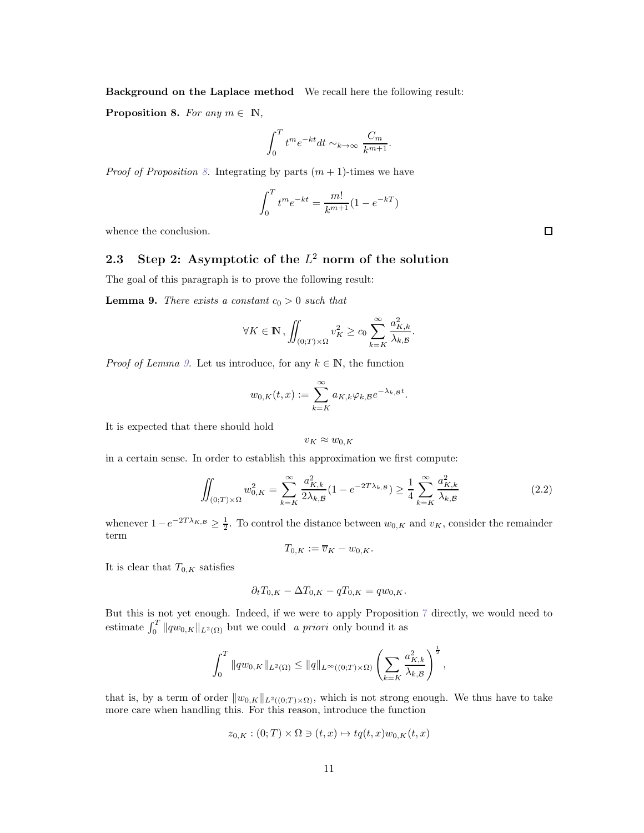Background on the Laplace method We recall here the following result:

<span id="page-10-1"></span>**Proposition 8.** For any  $m \in \mathbb{N}$ ,

$$
\int_0^T t^m e^{-kt} dt \sim_{k \to \infty} \frac{C_m}{k^{m+1}}.
$$

*Proof of Proposition [8.](#page-10-1)* Integrating by parts  $(m + 1)$ -times we have

$$
\int_0^T t^m e^{-kt} = \frac{m!}{k^{m+1}} (1 - e^{-kT})
$$

whence the conclusion.

# 2.3 Step 2: Asymptotic of the  $L^2$  norm of the solution

The goal of this paragraph is to prove the following result:

<span id="page-10-0"></span>**Lemma 9.** There exists a constant  $c_0 > 0$  such that

$$
\forall K \in \mathbb{N}, \iint_{(0;T)\times\Omega} v_K^2 \ge c_0 \sum_{k=K}^{\infty} \frac{a_{K,k}^2}{\lambda_{k,\mathcal{B}}}.
$$

*Proof of Lemma [9.](#page-10-0)* Let us introduce, for any  $k \in \mathbb{N}$ , the function

$$
w_{0,K}(t,x) := \sum_{k=K}^{\infty} a_{K,k} \varphi_{k,\mathcal{B}} e^{-\lambda_{k,\mathcal{B}}t}.
$$

It is expected that there should hold

$$
v_K \approx w_{0,K}
$$

in a certain sense. In order to establish this approximation we first compute:

<span id="page-10-2"></span>
$$
\iint_{(0;T)\times\Omega} w_{0,K}^2 = \sum_{k=K}^{\infty} \frac{a_{K,k}^2}{2\lambda_{k,\mathcal{B}}} (1 - e^{-2T\lambda_{k,\mathcal{B}}}) \ge \frac{1}{4} \sum_{k=K}^{\infty} \frac{a_{K,k}^2}{\lambda_{k,\mathcal{B}}} \tag{2.2}
$$

whenever  $1-e^{-2T\lambda_{K,B}} \ge \frac{1}{2}$ . To control the distance between  $w_{0,K}$  and  $v_K$ , consider the remainder term

$$
T_{0,K} := \overline{v}_K - w_{0,K}.
$$

It is clear that  $T_{0,K}$  satisfies

$$
\partial_t T_{0,K} - \Delta T_{0,K} - qT_{0,K} = qw_{0,K}.
$$

But this is not yet enough. Indeed, if we were to apply Proposition [7](#page-9-0) directly, we would need to estimate  $\int_0^T \|qw_{0,K}\|_{L^2(\Omega)}$  but we could a priori only bound it as

$$
\int_0^T \|qw_{0,K}\|_{L^2(\Omega)} \le \|q\|_{L^\infty((0;T)\times\Omega)} \left(\sum_{k=K} \frac{a_{K,k}^2}{\lambda_{k,\mathcal{B}}}\right)^{\frac{1}{2}},
$$

that is, by a term of order  $||w_{0,K}||_{L^2((0,T)\times\Omega)}$ , which is not strong enough. We thus have to take more care when handling this. For this reason, introduce the function

$$
z_{0,K}: (0;T) \times \Omega \ni (t,x) \mapsto tq(t,x)w_{0,K}(t,x)
$$

 $\Box$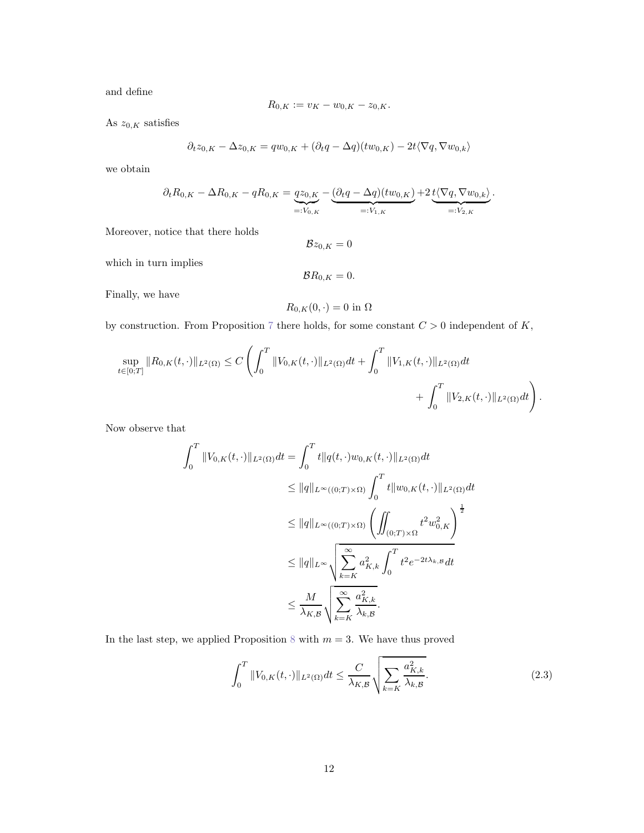and define

$$
R_{0,K} := v_K - w_{0,K} - z_{0,K}.
$$

As  $z_{0,K}$  satisfies

$$
\partial_t z_{0,K} - \Delta z_{0,K} = q w_{0,K} + (\partial_t q - \Delta q)(tw_{0,K}) - 2t \langle \nabla q, \nabla w_{0,K} \rangle
$$

we obtain

$$
\partial_t R_{0,K} - \Delta R_{0,K} - qR_{0,K} = \underbrace{qz_{0,K}}_{=:V_{0,K}} - \underbrace{(\partial_t q - \Delta q)(tw_{0,K})}_{=:V_{1,K}} + 2\underbrace{t\langle \nabla q, \nabla w_{0,k}\rangle}_{=:V_{2,K}}.
$$

Moreover, notice that there holds

$$
\mathcal{B}z_{0,K}=0
$$

which in turn implies

$$
\mathcal{B}R_{0,K}=0.
$$

Finally, we have

$$
R_{0,K}(0,\cdot)=0\text{ in }\Omega
$$

by construction. From Proposition [7](#page-9-0) there holds, for some constant  $C > 0$  independent of K,

$$
\sup_{t\in[0;T]}\|R_{0,K}(t,\cdot)\|_{L^2(\Omega)} \leq C\left(\int_0^T\|V_{0,K}(t,\cdot)\|_{L^2(\Omega)}dt + \int_0^T\|V_{1,K}(t,\cdot)\|_{L^2(\Omega)}dt + \int_0^T\|V_{2,K}(t,\cdot)\|_{L^2(\Omega)}dt\right).
$$

Now observe that

$$
\int_0^T \|V_{0,K}(t,\cdot)\|_{L^2(\Omega)} dt = \int_0^T t \|q(t,\cdot)w_{0,K}(t,\cdot)\|_{L^2(\Omega)} dt
$$
  
\n
$$
\leq \|q\|_{L^{\infty}((0;T)\times\Omega)} \int_0^T t \|w_{0,K}(t,\cdot)\|_{L^2(\Omega)} dt
$$
  
\n
$$
\leq \|q\|_{L^{\infty}((0;T)\times\Omega)} \left(\iint_{(0;T)\times\Omega} t^2 w_{0,K}^2\right)^{\frac{1}{2}}
$$
  
\n
$$
\leq \|q\|_{L^{\infty}} \sqrt{\sum_{k=K}^{\infty} a_{K,k}^2 \int_0^T t^2 e^{-2t\lambda_k} ds}
$$
  
\n
$$
\leq \frac{M}{\lambda_{K,B}} \sqrt{\sum_{k=K}^{\infty} \frac{a_{K,k}^2}{\lambda_{k,B}}}.
$$

In the last step, we applied Proposition [8](#page-10-1) with  $m = 3$ . We have thus proved

<span id="page-11-0"></span>
$$
\int_0^T \|V_{0,K}(t,\cdot)\|_{L^2(\Omega)} dt \le \frac{C}{\lambda_{K,\mathcal{B}}} \sqrt{\sum_{k=K} \frac{a_{K,k}^2}{\lambda_{k,\mathcal{B}}}}.
$$
\n(2.3)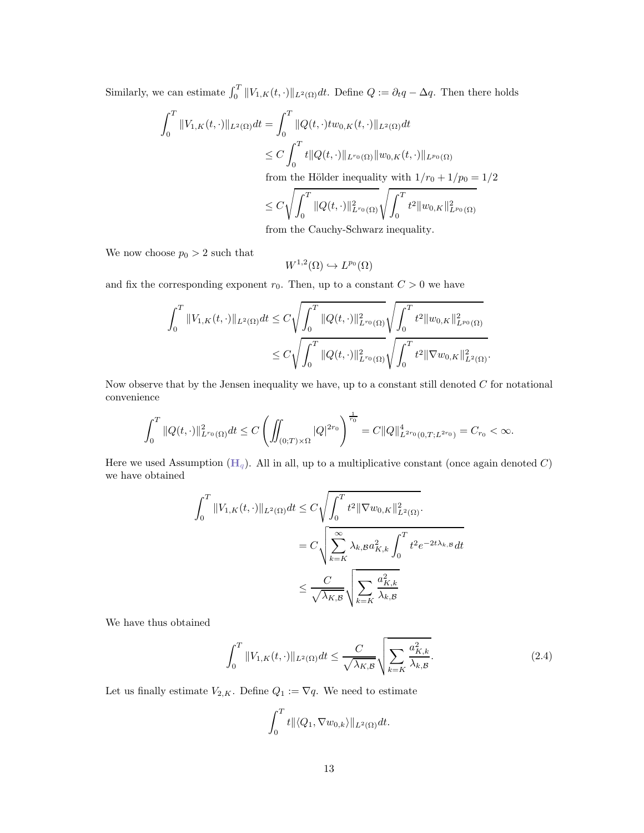Similarly, we can estimate  $\int_0^T \|V_{1,K}(t,\cdot)\|_{L^2(\Omega)} dt$ . Define  $Q := \partial_t q - \Delta q$ . Then there holds

$$
\int_0^T \|V_{1,K}(t,\cdot)\|_{L^2(\Omega)} dt = \int_0^T \|Q(t,\cdot) t w_{0,K}(t,\cdot)\|_{L^2(\Omega)} dt
$$
  
\n
$$
\leq C \int_0^T t \|Q(t,\cdot)\|_{L^{r_0}(\Omega)} \|w_{0,K}(t,\cdot)\|_{L^{p_0}(\Omega)}
$$
  
\nfrom the Hölder inequality with  $1/r_0 + 1/p_0 = 1/2$   
\n
$$
\leq C \sqrt{\int_0^T \|Q(t,\cdot)\|_{L^{r_0}(\Omega)}^2} \sqrt{\int_0^T t^2 \|w_{0,K}\|_{L^{p_0}(\Omega)}^2}
$$
  
\nfrom the Goubey Schurary inequality.

from the Cauchy-Schwarz inequality.

We now choose  $p_0 > 2$  such that

$$
W^{1,2}(\Omega) \hookrightarrow L^{p_0}(\Omega)
$$

and fix the corresponding exponent  $r_0$ . Then, up to a constant  $C > 0$  we have

$$
\int_0^T \|V_{1,K}(t,\cdot)\|_{L^2(\Omega)} dt \le C \sqrt{\int_0^T \|Q(t,\cdot)\|_{L^{r_0}(\Omega)}^2} \sqrt{\int_0^T t^2 \|w_{0,K}\|_{L^{p_0}(\Omega)}^2}
$$
  

$$
\le C \sqrt{\int_0^T \|Q(t,\cdot)\|_{L^{r_0}(\Omega)}^2} \sqrt{\int_0^T t^2 \|\nabla w_{0,K}\|_{L^2(\Omega)}^2}.
$$

Now observe that by the Jensen inequality we have, up to a constant still denoted  $C$  for notational convenience

$$
\int_0^T \|Q(t,\cdot)\|_{L^{r_0}(\Omega)}^2 dt \le C \left( \iint_{(0;T)\times\Omega} |Q|^{2r_0} \right)^{\frac{1}{r_0}} = C \|Q\|_{L^{2r_0}(0,T;L^{2r_0})}^4 = C_{r_0} < \infty.
$$

[H](#page-6-1)ere we used Assumption  $(H_q)$ . All in all, up to a multiplicative constant (once again denoted C) we have obtained

$$
\int_0^T \|V_{1,K}(t,\cdot)\|_{L^2(\Omega)} dt \le C \sqrt{\int_0^T t^2 \|\nabla w_{0,K}\|_{L^2(\Omega)}^2}.
$$

$$
= C \sqrt{\sum_{k=K}^\infty \lambda_{k,B} a_{K,k}^2 \int_0^T t^2 e^{-2t\lambda_{k,B}} dt}
$$

$$
\le \frac{C}{\sqrt{\lambda_{K,B}}} \sqrt{\sum_{k=K} \frac{a_{K,k}^2}{\lambda_{k,B}}}
$$

We have thus obtained

<span id="page-12-0"></span>
$$
\int_0^T \|V_{1,K}(t,\cdot)\|_{L^2(\Omega)} dt \le \frac{C}{\sqrt{\lambda_{K,B}}} \sqrt{\sum_{k=K} \frac{a_{K,k}^2}{\lambda_{k,B}}}.
$$
\n(2.4)

Let us finally estimate  $V_{2,K}.$  Define  $Q_1 := \nabla q.$  We need to estimate

$$
\int_0^T t \|\langle Q_1, \nabla w_{0,k}\rangle\|_{L^2(\Omega)} dt.
$$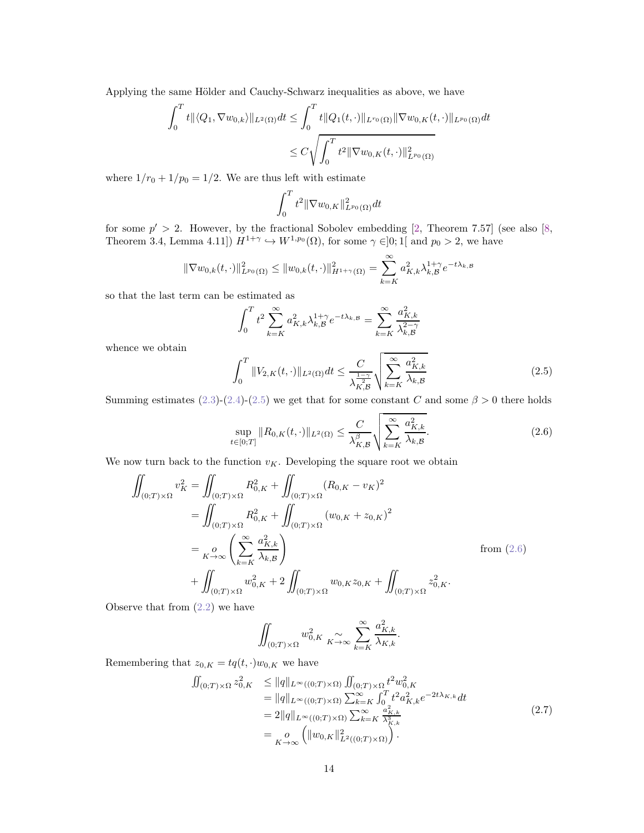Applying the same Hölder and Cauchy-Schwarz inequalities as above, we have

$$
\int_0^T t \|\langle Q_1, \nabla w_{0,k} \rangle\|_{L^2(\Omega)} dt \le \int_0^T t \|\langle Q_1(t, \cdot) \|_{L^{r_0}(\Omega)} \|\nabla w_{0,K}(t, \cdot) \|_{L^{p_0}(\Omega)} dt
$$
  

$$
\le C \sqrt{\int_0^T t^2 \|\nabla w_{0,K}(t, \cdot) \|_{L^{p_0}(\Omega)}^2}
$$

where  $1/r_0 + 1/p_0 = 1/2$ . We are thus left with estimate

$$
\int_0^T t^2 \|\nabla w_{0,K}\|_{L^{p_0}(\Omega)}^2 dt
$$

for some  $p' > 2$ . However, by the fractional Sobolev embedding [\[2,](#page-25-5) Theorem 7.57] (see also [\[8,](#page-25-6) Theorem 3.4, Lemma 4.11])  $H^{1+\gamma} \hookrightarrow W^{1,p_0}(\Omega)$ , for some  $\gamma \in ]0;1[$  and  $p_0 > 2$ , we have

$$
\|\nabla w_{0,k}(t,\cdot)\|_{L^{p_0}(\Omega)}^2 \le \|w_{0,k}(t,\cdot)\|_{H^{1+\gamma}(\Omega)}^2 = \sum_{k=K}^{\infty} a_{K,k}^2 \lambda_{k,\mathcal{B}}^{1+\gamma} e^{-t\lambda_{k,\mathcal{B}}}
$$

so that the last term can be estimated as

$$
\int_0^T t^2 \sum_{k=K}^\infty a_{K,k}^2 \lambda_{k,\mathcal{B}}^{1+\gamma} e^{-t\lambda_{k,\mathcal{B}}} = \sum_{k=K}^\infty \frac{a_{K,k}^2}{\lambda_{k,\mathcal{B}}^{2-\gamma}}
$$

whence we obtain

<span id="page-13-0"></span>
$$
\int_{0}^{T} \|V_{2,K}(t,\cdot)\|_{L^{2}(\Omega)} dt \leq \frac{C}{\lambda_{K,\mathcal{B}}^{\frac{1-\gamma}{2}}} \sqrt{\sum_{k=K}^{\infty} \frac{a_{K,k}^{2}}{\lambda_{k,\mathcal{B}}}}
$$
(2.5)

Summing estimates [\(2.3\)](#page-11-0)-[\(2.4\)](#page-12-0)-[\(2.5\)](#page-13-0) we get that for some constant C and some  $\beta > 0$  there holds

<span id="page-13-1"></span>
$$
\sup_{t\in[0;T]} \|R_{0,K}(t,\cdot)\|_{L^2(\Omega)} \le \frac{C}{\lambda_{K,\mathcal{B}}^{\beta}} \sqrt{\sum_{k=K}^{\infty} \frac{a_{K,k}^2}{\lambda_{k,\mathcal{B}}}}.
$$
\n(2.6)

We now turn back to the function  $v_K$ . Developing the square root we obtain

$$
\iint_{(0;T)\times\Omega} v_K^2 = \iint_{(0;T)\times\Omega} R_{0,K}^2 + \iint_{(0;T)\times\Omega} (R_{0,K} - v_K)^2
$$
\n
$$
= \iint_{(0;T)\times\Omega} R_{0,K}^2 + \iint_{(0;T)\times\Omega} (w_{0,K} + z_{0,K})^2
$$
\n
$$
= \sum_{K \to \infty} \left( \sum_{k=K}^{\infty} \frac{a_{K,k}^2}{\lambda_{k,B}} \right) \qquad \text{from (2.6)}
$$
\n
$$
+ \iint_{(0;T)\times\Omega} w_{0,K}^2 + 2 \iint_{(0;T)\times\Omega} w_{0,K} z_{0,K} + \iint_{(0;T)\times\Omega} z_{0,K}^2.
$$

Observe that from [\(2.2\)](#page-10-2) we have

$$
\iint_{(0;T)\times\Omega} w_{0,K}^2 \underset{K\to\infty}{\sim} \sum_{k=K}^{\infty} \frac{a_{K,k}^2}{\lambda_{K,k}}.
$$

Remembering that  $z_{0,K} = tq(t, \cdot)w_{0,K}$  we have

<span id="page-13-2"></span>
$$
\begin{split} \iint_{(0;T)\times\Omega} z_{0,K}^2 &\le \|q\|_{L^\infty((0;T)\times\Omega)} \iint_{(0;T)\times\Omega} t^2 w_{0,K}^2 \\ &= \|q\|_{L^\infty((0;T)\times\Omega)} \sum_{k=K}^\infty \int_0^T t^2 a_{K,k}^2 e^{-2t\lambda_{K,k}} dt \\ &= 2\|q\|_{L^\infty((0;T)\times\Omega)} \sum_{k=K}^\infty \frac{a_{K,k}^2}{\lambda_{K,k}^3} \\ &= \frac{o}{K^2 \infty} \left( \|w_{0,K}\|_{L^2((0;T)\times\Omega)}^2 \right). \end{split} \tag{2.7}
$$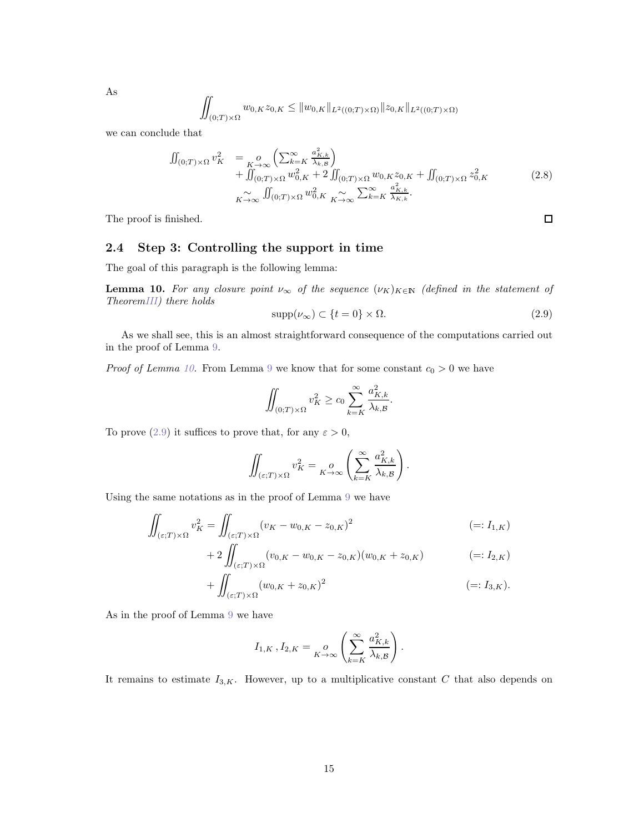$$
\iint_{(0;T)\times\Omega} w_{0,K} z_{0,K} \leq \|w_{0,K}\|_{L^2((0;T)\times\Omega)} \|z_{0,K}\|_{L^2((0;T)\times\Omega)}
$$

we can conclude that

$$
\iint_{(0;T)\times\Omega} v_K^2 = o\limits_{K\to\infty} \left( \sum_{k=K}^{\infty} \frac{a_{K,k}^2}{\lambda_{k,B}} \right) \n+ \iint_{(0;T)\times\Omega} w_{0,K}^2 + 2 \iint_{(0;T)\times\Omega} w_{0,K} z_{0,K} + \iint_{(0;T)\times\Omega} z_{0,K}^2 \n+ \iint_{K\to\infty} \int_{(0;T)\times\Omega} w_{0,K}^2 \sum_{K\to\infty}^{\infty} \sum_{k=K}^{\infty} \frac{a_{K,k}^2}{\lambda_{K,k}}.
$$
\n(2.8)

The proof is finished.

## 2.4 Step 3: Controlling the support in time

The goal of this paragraph is the following lemma:

<span id="page-14-0"></span>**Lemma 10.** For any closure point  $\nu_{\infty}$  of the sequence  $(\nu_K)_{K \in \mathbb{N}}$  (defined in the statement of Theore[mIII\)](#page-6-0) there holds

<span id="page-14-1"></span>
$$
supp(\nu_{\infty}) \subset \{t = 0\} \times \Omega.
$$
\n(2.9)

As we shall see, this is an almost straightforward consequence of the computations carried out in the proof of Lemma [9.](#page-10-0)

*Proof of Lemma [10.](#page-14-0)* From Lemma [9](#page-10-0) we know that for some constant  $c_0 > 0$  we have

$$
\iint_{(0,T)\times\Omega} v_K^2 \ge c_0 \sum_{k=K}^{\infty} \frac{a_{K,k}^2}{\lambda_{k,\mathcal{B}}}.
$$

To prove [\(2.9\)](#page-14-1) it suffices to prove that, for any  $\varepsilon > 0$ ,

$$
\iint_{(\varepsilon;T)\times\Omega} v_K^2 = \bigg|_{K\to\infty} \left( \sum_{k=K}^{\infty} \frac{a_{K,k}^2}{\lambda_{k,\mathcal{B}}} \right).
$$

Using the same notations as in the proof of Lemma [9](#page-10-0) we have

$$
\iint_{(\varepsilon;T)\times\Omega} v_K^2 = \iint_{(\varepsilon;T)\times\Omega} (v_K - w_{0,K} - z_{0,K})^2
$$
\n
$$
(=: I_{1,K})
$$

+ 
$$
2 \iint_{(\varepsilon;T)\times\Omega} (v_{0,K} - w_{0,K} - z_{0,K})(w_{0,K} + z_{0,K})
$$
 (=:  $I_{2,K}$ )

$$
+\iint_{(\varepsilon;T)\times\Omega} (w_{0,K} + z_{0,K})^2 \qquad \qquad (=: I_{3,K}).
$$

As in the proof of Lemma [9](#page-10-0) we have

$$
I_{1,K}, I_{2,K} = \underset{K \to \infty}{\rho} \left( \sum_{k=K}^{\infty} \frac{a_{K,k}^2}{\lambda_{k,\mathcal{B}}} \right).
$$

It remains to estimate  $I_{3,K}$ . However, up to a multiplicative constant C that also depends on

As

 $\Box$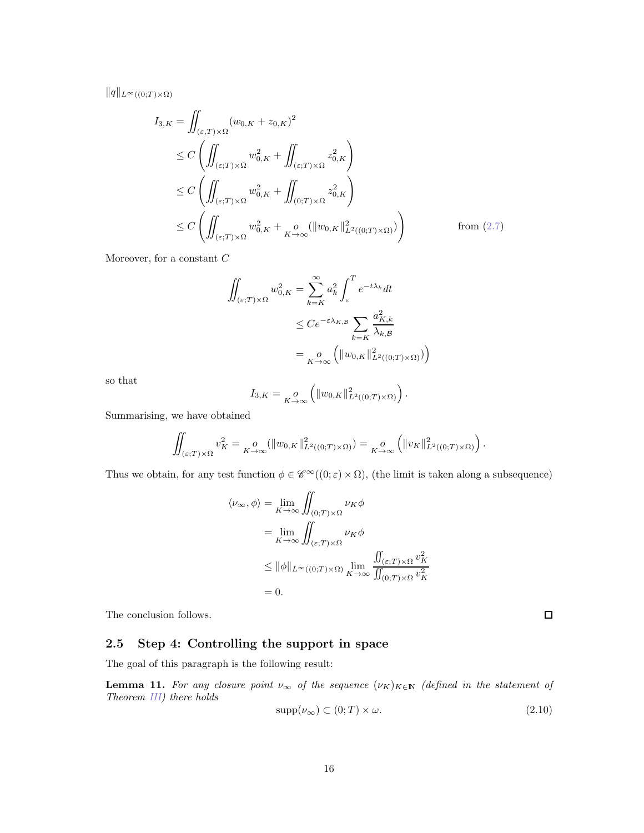$||q||_{L^{\infty}((0;T)\times\Omega)}$ 

$$
I_{3,K} = \iint_{(\varepsilon,T)\times\Omega} (w_{0,K} + z_{0,K})^2
$$
  
\n
$$
\leq C \left( \iint_{(\varepsilon;T)\times\Omega} w_{0,K}^2 + \iint_{(\varepsilon;T)\times\Omega} z_{0,K}^2 \right)
$$
  
\n
$$
\leq C \left( \iint_{(\varepsilon;T)\times\Omega} w_{0,K}^2 + \iint_{(0;T)\times\Omega} z_{0,K}^2 \right)
$$
  
\n
$$
\leq C \left( \iint_{(\varepsilon;T)\times\Omega} w_{0,K}^2 + \iint_{K\to\infty} (||w_{0,K}||_{L^2((0;T)\times\Omega)}^2) \right)
$$
 from (2.7)

Moreover, for a constant  $\cal C$ 

$$
\iint_{(\varepsilon;T)\times\Omega} w_{0,K}^2 = \sum_{k=K}^{\infty} a_k^2 \int_{\varepsilon}^T e^{-t\lambda_k} dt
$$
  

$$
\leq C e^{-\varepsilon \lambda_{K,B}} \sum_{k=K} \frac{a_{K,k}^2}{\lambda_{k,B}}
$$
  

$$
= \sum_{K\to\infty} \left( \|w_{0,K}\|_{L^2((0;T)\times\Omega)}^2 \right)
$$

so that

$$
I_{3,K} = \underset{K \to \infty}{\rho} \left( \|w_{0,K}\|_{L^2((0;T) \times \Omega)}^2 \right).
$$

Summarising, we have obtained

$$
\iint_{(\varepsilon;T)\times\Omega} v_K^2 = \underset{K\to\infty}{\circ} (\|w_{0,K}\|_{L^2((0;T)\times\Omega)}^2) = \underset{K\to\infty}{\circ} \left(\|v_K\|_{L^2((0;T)\times\Omega)}^2\right).
$$

Thus we obtain, for any test function  $\phi \in \mathscr{C}^{\infty}((0; \varepsilon) \times \Omega)$ , (the limit is taken along a subsequence)

$$
\langle \nu_{\infty}, \phi \rangle = \lim_{K \to \infty} \iint_{(0;T) \times \Omega} \nu_K \phi
$$
  
= 
$$
\lim_{K \to \infty} \iint_{(\varepsilon;T) \times \Omega} \nu_K \phi
$$
  

$$
\leq \|\phi\|_{L^{\infty}((0;T) \times \Omega)} \lim_{K \to \infty} \frac{\iint_{(\varepsilon;T) \times \Omega} v_K^2}{\iint_{(0;T) \times \Omega} v_K^2}
$$
  
= 0.

The conclusion follows.

## 2.5 Step 4: Controlling the support in space

The goal of this paragraph is the following result:

<span id="page-15-0"></span>**Lemma 11.** For any closure point  $\nu_{\infty}$  of the sequence  $(\nu_K)_{K \in \mathbb{N}}$  (defined in the statement of Theorem [III\)](#page-6-0) there holds

<span id="page-15-1"></span>
$$
supp(\nu_{\infty}) \subset (0;T) \times \omega. \tag{2.10}
$$

 $\Box$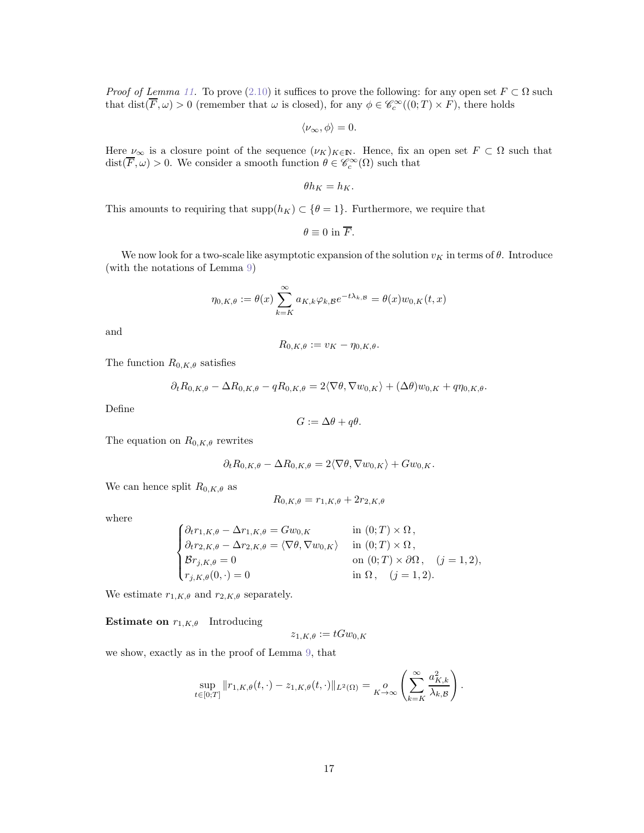*Proof of Lemma [11.](#page-15-0)* To prove [\(2.10\)](#page-15-1) it suffices to prove the following: for any open set  $F \subset \Omega$  such that  $dist(\overline{F}, \omega) > 0$  (remember that  $\omega$  is closed), for any  $\phi \in \mathscr{C}_c^{\infty}((0, T) \times F)$ , there holds

$$
\langle \nu_{\infty}, \phi \rangle = 0.
$$

Here  $\nu_{\infty}$  is a closure point of the sequence  $(\nu_K)_{K\in\mathbb{N}}$ . Hence, fix an open set  $F\subset\Omega$  such that  $dist(\overline{F}, \omega) > 0$ . We consider a smooth function  $\theta \in \mathscr{C}_c^\infty(\Omega)$  such that

$$
\theta h_K = h_K.
$$

This amounts to requiring that  $\text{supp}(h_K) \subset \{\theta = 1\}$ . Furthermore, we require that

$$
\theta \equiv 0 \text{ in } \overline{F}.
$$

We now look for a two-scale like asymptotic expansion of the solution  $v_K$  in terms of  $\theta$ . Introduce (with the notations of Lemma [9\)](#page-10-0)

$$
\eta_{0,K,\theta} := \theta(x) \sum_{k=K}^{\infty} a_{K,k} \varphi_{k,\mathcal{B}} e^{-t\lambda_{k,\mathcal{B}}} = \theta(x) w_{0,K}(t,x)
$$

and

$$
R_{0,K,\theta} := v_K - \eta_{0,K,\theta}.
$$

The function  $R_{0,K,\theta}$  satisfies

$$
\partial_t R_{0,K,\theta} - \Delta R_{0,K,\theta} - qR_{0,K,\theta} = 2\langle \nabla \theta, \nabla w_{0,K} \rangle + (\Delta \theta) w_{0,K} + q\eta_{0,K,\theta}.
$$

Define

$$
G := \Delta\theta + q\theta.
$$

The equation on  $R_{0,K,\theta}$  rewrites

$$
\partial_t R_{0,K,\theta} - \Delta R_{0,K,\theta} = 2 \langle \nabla \theta, \nabla w_{0,K} \rangle + G w_{0,K}.
$$

We can hence split  $R_{0,K,\theta}$  as

$$
R_{0,K,\theta} = r_{1,K,\theta} + 2r_{2,K,\theta}
$$

where

$$
\begin{cases} \partial_t r_{1,K,\theta} - \Delta r_{1,K,\theta} = Gw_{0,K} & \text{in } (0;T) \times \Omega, \\ \partial_t r_{2,K,\theta} - \Delta r_{2,K,\theta} = \langle \nabla \theta, \nabla w_{0,K} \rangle & \text{in } (0;T) \times \Omega, \\ \mathcal{B}r_{j,K,\theta} = 0 & \text{on } (0;T) \times \partial\Omega, \quad (j = 1,2), \\ r_{j,K,\theta}(0,\cdot) = 0 & \text{in } \Omega, \quad (j = 1,2). \end{cases}
$$

We estimate  $r_{1,K,\theta}$  and  $r_{2,K,\theta}$  separately.

**Estimate on**  $r_{1,K,\theta}$  Introducing

$$
z_{1,K,\theta} := tGw_{0,K}
$$

we show, exactly as in the proof of Lemma [9,](#page-10-0) that

$$
\sup_{t\in[0;T]}\|r_{1,K,\theta}(t,\cdot)-z_{1,K,\theta}(t,\cdot)\|_{L^2(\Omega)}=\underset{K\to\infty}{\rho}\left(\sum_{k=K}^{\infty}\frac{a_{K,k}^2}{\lambda_{k,\mathcal{B}}}\right).
$$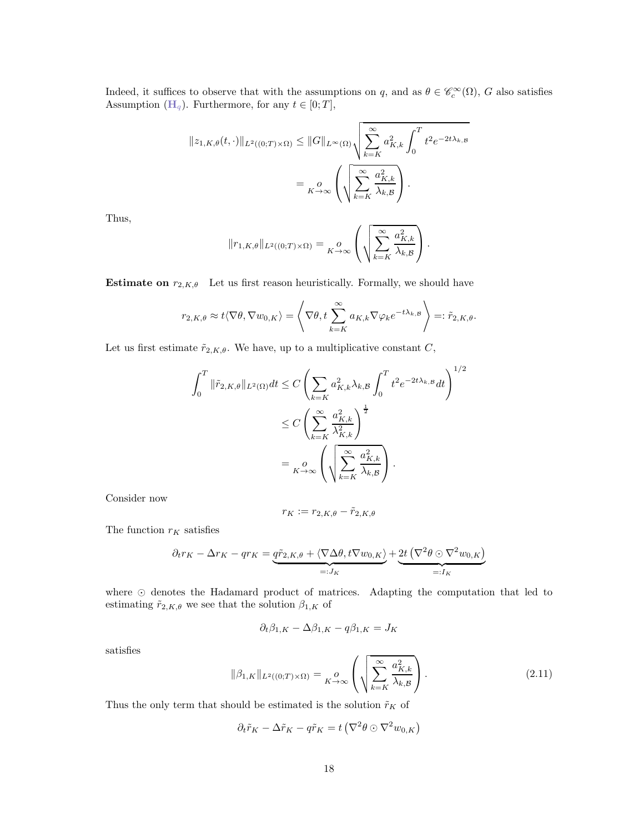Indeed, it suffices to observe that with the assumptions on q, and as  $\theta \in \mathscr{C}_c^{\infty}(\Omega)$ , G also satisfies Assumption ( $\mathbf{H}_q$  $\mathbf{H}_q$  $\mathbf{H}_q$ ). Furthermore, for any  $t \in [0; T]$ ,

$$
||z_{1,K,\theta}(t,\cdot)||_{L^2((0,T)\times\Omega)} \leq ||G||_{L^{\infty}(\Omega)} \sqrt{\sum_{k=K}^{\infty} a_{K,k}^2 \int_0^T t^2 e^{-2t\lambda_{k,B}}}
$$

$$
= \sum_{K\to\infty} \left( \sqrt{\sum_{k=K}^{\infty} \frac{a_{K,k}^2}{\lambda_{k,B}}} \right).
$$

Thus,

$$
||r_{1,K,\theta}||_{L^{2}((0;T)\times\Omega)} = \underset{K\to\infty}{\rho} \left( \sqrt{\sum_{k=K}^{\infty} \frac{a_{K,k}^{2}}{\lambda_{k,\mathcal{B}}}} \right)
$$

.

**Estimate on**  $r_{2,K,\theta}$  Let us first reason heuristically. Formally, we should have

$$
r_{2,K,\theta} \approx t \langle \nabla \theta, \nabla w_{0,K} \rangle = \left\langle \nabla \theta, t \sum_{k=K}^{\infty} a_{K,k} \nabla \varphi_k e^{-t \lambda_{k,B}} \right\rangle =: \tilde{r}_{2,K,\theta}.
$$

Let us first estimate  $\tilde{r}_{2,K,\theta}$ . We have, up to a multiplicative constant C,

$$
\int_0^T \|\tilde{r}_{2,K,\theta}\|_{L^2(\Omega)} dt \le C \left( \sum_{k=K} a_{K,k}^2 \lambda_{k,\mathcal{B}} \int_0^T t^2 e^{-2t\lambda_{k,\mathcal{B}}} dt \right)^{1/2}
$$
  

$$
\le C \left( \sum_{k=K}^\infty \frac{a_{K,k}^2}{\lambda_{K,k}^2} \right)^{\frac{1}{2}}
$$
  

$$
= \int_0^0 \left( \sqrt{\sum_{k=K}^\infty \frac{a_{K,k}^2}{\lambda_{k,\mathcal{B}}} } \right).
$$

Consider now

$$
r_K := r_{2,K,\theta} - \tilde{r}_{2,K,\theta}
$$

The function  $r_K$  satisfies

$$
\partial_t r_K - \Delta r_K - qr_K = \underbrace{q\tilde{r}_{2,K,\theta} + \langle \nabla \Delta \theta, t \nabla w_{0,K} \rangle}_{=:J_K} + \underbrace{2t (\nabla^2 \theta \odot \nabla^2 w_{0,K})}_{=:I_K}
$$

where ⊙ denotes the Hadamard product of matrices. Adapting the computation that led to estimating  $\tilde{r}_{2,K,\theta}$  we see that the solution  $\beta_{1,K}$  of

$$
\partial_t \beta_{1,K} - \Delta \beta_{1,K} - q \beta_{1,K} = J_K
$$

satisfies

$$
\|\beta_{1,K}\|_{L^2((0,T)\times\Omega)} = \underset{K\to\infty}{\circ} \left( \sqrt{\sum_{k=K}^{\infty} \frac{a_{K,k}^2}{\lambda_{k,\mathcal{B}}}} \right). \tag{2.11}
$$

Thus the only term that should be estimated is the solution  $\tilde{r}_K$  of

$$
\partial_t \tilde{r}_K - \Delta \tilde{r}_K - q \tilde{r}_K = t \left( \nabla^2 \theta \odot \nabla^2 w_{0,K} \right)
$$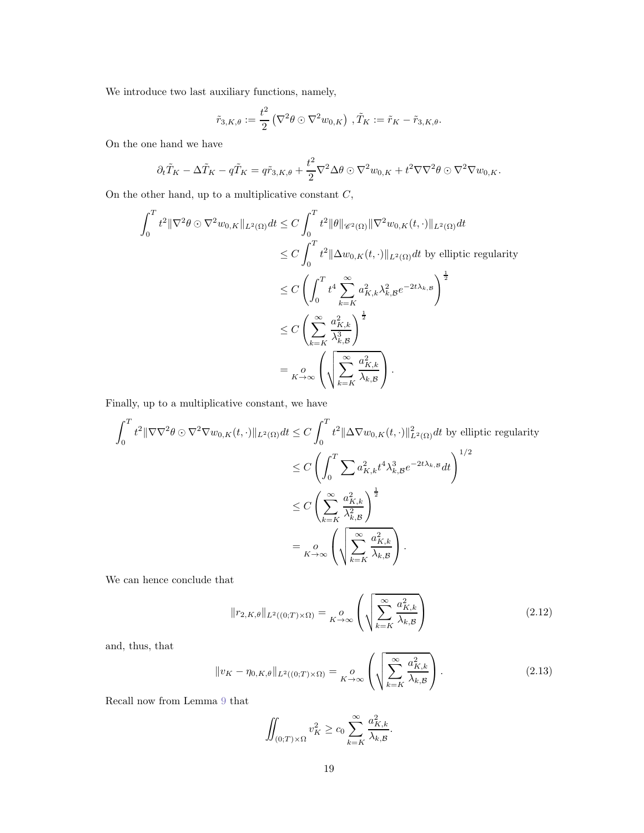We introduce two last auxiliary functions, namely,

$$
\tilde{r}_{3,K,\theta} := \frac{t^2}{2} \left( \nabla^2 \theta \odot \nabla^2 w_{0,K} \right), \tilde{T}_K := \tilde{r}_K - \tilde{r}_{3,K,\theta}.
$$

On the one hand we have

$$
\partial_t \tilde{T}_K - \Delta \tilde{T}_K - q \tilde{T}_K = q \tilde{r}_{3,K,\theta} + \frac{t^2}{2} \nabla^2 \Delta \theta \odot \nabla^2 w_{0,K} + t^2 \nabla \nabla^2 \theta \odot \nabla^2 \nabla w_{0,K}.
$$

On the other hand, up to a multiplicative constant  $C,$ 

$$
\int_0^T t^2 \|\nabla^2 \theta \odot \nabla^2 w_{0,K}\|_{L^2(\Omega)} dt \le C \int_0^T t^2 \|\theta\|_{\mathscr{C}^2(\Omega)} \|\nabla^2 w_{0,K}(t,\cdot)\|_{L^2(\Omega)} dt
$$
  
\n
$$
\le C \int_0^T t^2 \|\Delta w_{0,K}(t,\cdot)\|_{L^2(\Omega)} dt \text{ by elliptic regularity}
$$
  
\n
$$
\le C \left(\int_0^T t^4 \sum_{k=K}^\infty a_{K,k}^2 \lambda_{k,\mathcal{B}}^2 e^{-2t\lambda_{k,\mathcal{B}}}\right)^{\frac{1}{2}}
$$
  
\n
$$
\le C \left(\sum_{k=K}^\infty \frac{a_{K,k}^2}{\lambda_{k,\mathcal{B}}^3}\right)^{\frac{1}{2}}
$$
  
\n
$$
= \int_0^T t^4 \sum_{k=K}^\infty \frac{a_{K,k}^2}{\lambda_{k,\mathcal{B}}^3} dt
$$

Finally, up to a multiplicative constant, we have

$$
\int_0^T t^2 \|\nabla \nabla^2 \theta \odot \nabla^2 \nabla w_{0,K}(t, \cdot) \|_{L^2(\Omega)} dt \le C \int_0^T t^2 \|\Delta \nabla w_{0,K}(t, \cdot) \|_{L^2(\Omega)}^2 dt \text{ by elliptic regularity}
$$
  

$$
\le C \left( \int_0^T \sum a_{K,k}^2 t^4 \lambda_{k,B}^3 e^{-2t\lambda_{k,B}} dt \right)^{1/2}
$$
  

$$
\le C \left( \sum_{k=K}^\infty \frac{a_{K,k}^2}{\lambda_{k,B}^2} \right)^{\frac{1}{2}}
$$
  

$$
= \int_0^0 \left( \sqrt{\sum_{k=K}^\infty \frac{a_{K,k}^2}{\lambda_{k,B}}} \right).
$$

We can hence conclude that

$$
||r_{2,K,\theta}||_{L^{2}((0;T)\times\Omega)} = \underset{K\to\infty}{\rho} \left( \sqrt{\sum_{k=K}^{\infty} \frac{a_{K,k}^{2}}{\lambda_{k,\mathcal{B}}}} \right)
$$
(2.12)

and, thus, that

<span id="page-18-0"></span>
$$
||v_K - \eta_{0,K,\theta}||_{L^2((0,T)\times\Omega)} = \underset{K\to\infty}{\circ} \left( \sqrt{\sum_{k=K}^{\infty} \frac{a_{K,k}^2}{\lambda_{k,\mathcal{B}}}} \right).
$$
 (2.13)

Recall now from Lemma [9](#page-10-0) that

$$
\iint_{(0;T)\times\Omega} v_K^2 \ge c_0 \sum_{k=K}^{\infty} \frac{a_{K,k}^2}{\lambda_{k,\mathcal{B}}}.
$$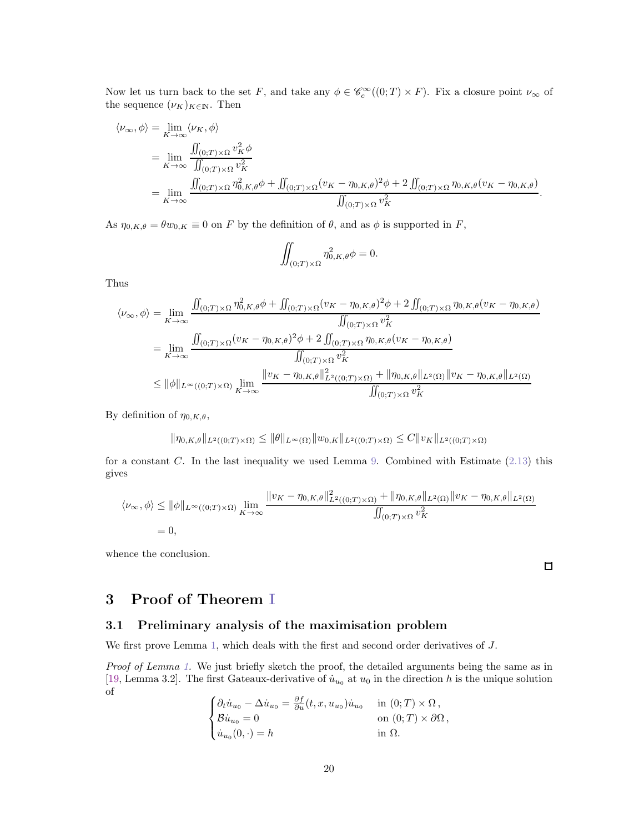Now let us turn back to the set F, and take any  $\phi \in \mathcal{C}_c^{\infty}((0,T) \times F)$ . Fix a closure point  $\nu_{\infty}$  of the sequence  $(\nu_K)_{K \in \mathbb{N}}$ . Then

$$
\langle \nu_{\infty}, \phi \rangle = \lim_{K \to \infty} \langle \nu_K, \phi \rangle
$$
  
= 
$$
\lim_{K \to \infty} \frac{\iint_{(0;T) \times \Omega} v_K^2 \phi}{\iint_{(0;T) \times \Omega} v_K^2}
$$
  
= 
$$
\lim_{K \to \infty} \frac{\iint_{(0;T) \times \Omega} \eta_{0,K,\theta}^2 \phi + \iint_{(0;T) \times \Omega} (v_K - \eta_{0,K,\theta})^2 \phi + 2 \iint_{(0;T) \times \Omega} \eta_{0,K,\theta} (v_K - \eta_{0,K,\theta})}{\iint_{(0;T) \times \Omega} v_K^2}.
$$

As  $\eta_{0,K,\theta} = \theta w_{0,K} \equiv 0$  on F by the definition of  $\theta$ , and as  $\phi$  is supported in F,

$$
\iint_{(0;T)\times\Omega} \eta_{0,K,\theta}^2 \phi = 0.
$$

Thus

$$
\langle \nu_{\infty}, \phi \rangle = \lim_{K \to \infty} \frac{\iint_{(0;T) \times \Omega} \eta_{0,K,\theta}^2 \phi + \iint_{(0;T) \times \Omega} (v_K - \eta_{0,K,\theta})^2 \phi + 2 \iint_{(0;T) \times \Omega} \eta_{0,K,\theta} (v_K - \eta_{0,K,\theta})}{\iint_{(0;T) \times \Omega} v_K^2}
$$
  
\n
$$
= \lim_{K \to \infty} \frac{\iint_{(0;T) \times \Omega} (v_K - \eta_{0,K,\theta})^2 \phi + 2 \iint_{(0;T) \times \Omega} \eta_{0,K,\theta} (v_K - \eta_{0,K,\theta})}{\iint_{(0;T) \times \Omega} v_K^2}
$$
  
\n
$$
\leq ||\phi||_{L^{\infty}((0;T) \times \Omega)} \lim_{K \to \infty} \frac{||v_K - \eta_{0,K,\theta}||_{L^2((0;T) \times \Omega)}^2 + ||\eta_{0,K,\theta}||_{L^2(\Omega)} ||v_K - \eta_{0,K,\theta}||_{L^2(\Omega)}}{\iint_{(0;T) \times \Omega} v_K^2}
$$

By definition of  $\eta_{0,K,\theta}$ ,

$$
\|\eta_{0,K,\theta}\|_{L^2((0;T)\times\Omega)} \le \|\theta\|_{L^\infty(\Omega)} \|w_{0,K}\|_{L^2((0;T)\times\Omega)} \le C \|v_K\|_{L^2((0;T)\times\Omega)}
$$

for a constant C. In the last inequality we used Lemma [9.](#page-10-0) Combined with Estimate  $(2.13)$  this gives

$$
\langle \nu_{\infty}, \phi \rangle \le \|\phi\|_{L^{\infty}((0;T)\times\Omega)} \lim_{K \to \infty} \frac{\|v_K - \eta_{0,K,\theta}\|_{L^2((0;T)\times\Omega)}^2 + \|\eta_{0,K,\theta}\|_{L^2(\Omega)} \|v_K - \eta_{0,K,\theta}\|_{L^2(\Omega)}}{\iint_{(0;T)\times\Omega} v_K^2} = 0,
$$

whence the conclusion.

 $\Box$ 

# 3 Proof of Theorem [I](#page-3-0)

# 3.1 Preliminary analysis of the maximisation problem

We first prove Lemma [1,](#page-2-2) which deals with the first and second order derivatives of J.

Proof of Lemma [1.](#page-2-2) We just briefly sketch the proof, the detailed arguments being the same as in [\[19,](#page-26-8) Lemma 3.2]. The first Gateaux-derivative of  $\dot{u}_{u_0}$  at  $u_0$  in the direction h is the unique solution of

$$
\begin{cases} \partial_t \dot{u}_{u_0} - \Delta \dot{u}_{u_0} = \frac{\partial f}{\partial u}(t, x, u_{u_0}) \dot{u}_{u_0} & \text{in } (0; T) \times \Omega \,, \\ \mathcal{B} \dot{u}_{u_0} = 0 & \text{on } (0; T) \times \partial \Omega \,, \\ \dot{u}_{u_0}(0, \cdot) = h & \text{in } \Omega. \end{cases}
$$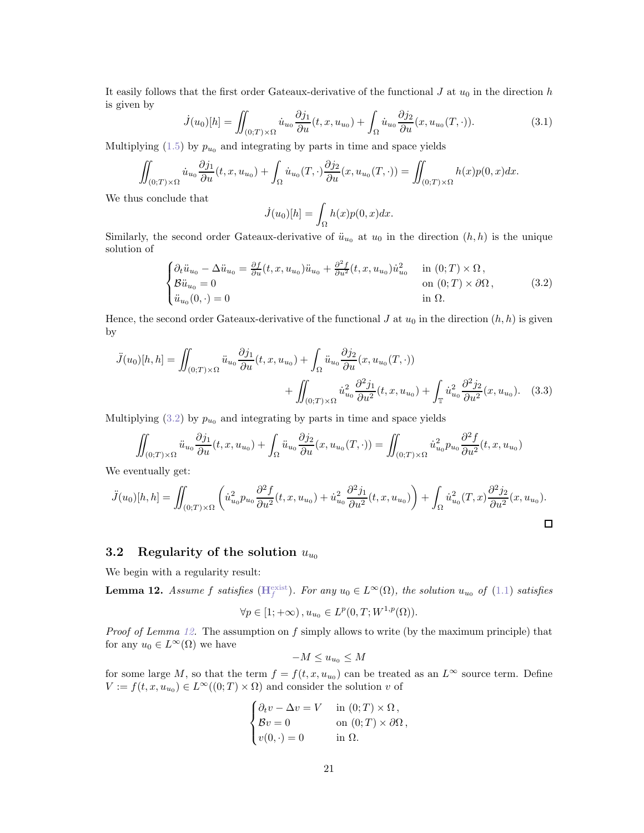It easily follows that the first order Gateaux-derivative of the functional  $J$  at  $u_0$  in the direction  $h$ is given by

$$
\dot{J}(u_0)[h] = \iint_{(0;T)\times\Omega} \dot{u}_{u_0} \frac{\partial j_1}{\partial u}(t, x, u_{u_0}) + \int_{\Omega} \dot{u}_{u_0} \frac{\partial j_2}{\partial u}(x, u_{u_0}(T, \cdot)). \tag{3.1}
$$

Multiplying [\(1.5\)](#page-2-4) by  $p_{u_0}$  and integrating by parts in time and space yields

$$
\iint_{(0;T)\times\Omega} \dot{u}_{u_0} \frac{\partial j_1}{\partial u}(t, x, u_{u_0}) + \int_{\Omega} \dot{u}_{u_0}(T, \cdot) \frac{\partial j_2}{\partial u}(x, u_{u_0}(T, \cdot)) = \iint_{(0;T)\times\Omega} h(x)p(0, x)dx.
$$

We thus conclude that

$$
\dot{J}(u_0)[h] = \int_{\Omega} h(x)p(0, x)dx.
$$

Similarly, the second order Gateaux-derivative of  $\ddot{u}_{u_0}$  at  $u_0$  in the direction  $(h, h)$  is the unique solution of

<span id="page-20-1"></span>
$$
\begin{cases}\n\partial_t \ddot{u}_{u_0} - \Delta \ddot{u}_{u_0} = \frac{\partial f}{\partial u}(t, x, u_{u_0}) \ddot{u}_{u_0} + \frac{\partial^2 f}{\partial u^2}(t, x, u_{u_0}) \dot{u}_{u_0}^2 & \text{in } (0; T) \times \Omega, \\
\mathcal{B}\ddot{u}_{u_0} = 0 & \text{on } (0; T) \times \partial\Omega, \\
\ddot{u}_{u_0}(0, \cdot) = 0 & \text{in } \Omega.\n\end{cases}
$$
\n(3.2)

Hence, the second order Gateaux-derivative of the functional J at  $u_0$  in the direction  $(h, h)$  is given by

$$
\ddot{J}(u_0)[h, h] = \iint_{(0;T)\times\Omega} \ddot{u}_{u_0} \frac{\partial j_1}{\partial u}(t, x, u_{u_0}) + \int_{\Omega} \ddot{u}_{u_0} \frac{\partial j_2}{\partial u}(x, u_{u_0}(T, \cdot)) + \iint_{(0;T)\times\Omega} \dot{u}_{u_0}^2 \frac{\partial^2 j_1}{\partial u^2}(t, x, u_{u_0}) + \int_{\mathbb{T}} \dot{u}_{u_0}^2 \frac{\partial^2 j_2}{\partial u^2}(x, u_{u_0}).
$$
 (3.3)

Multiplying [\(3.2\)](#page-20-1) by  $p_{u_0}$  and integrating by parts in time and space yields

$$
\iint_{(0;T)\times\Omega} \ddot{u}_{u_0} \frac{\partial j_1}{\partial u}(t, x, u_{u_0}) + \int_{\Omega} \ddot{u}_{u_0} \frac{\partial j_2}{\partial u}(x, u_{u_0}(T, \cdot)) = \iint_{(0;T)\times\Omega} \dot{u}_{u_0}^2 p_{u_0} \frac{\partial^2 f}{\partial u^2}(t, x, u_{u_0})
$$

We eventually get:

$$
\ddot{J}(u_0)[h,h] = \iint_{(0;T)\times\Omega} \left( \dot{u}_{u_0}^2 p_{u_0} \frac{\partial^2 f}{\partial u^2}(t,x,u_{u_0}) + \dot{u}_{u_0}^2 \frac{\partial^2 j_1}{\partial u^2}(t,x,u_{u_0}) \right) + \int_{\Omega} \dot{u}_{u_0}^2(T,x) \frac{\partial^2 j_2}{\partial u^2}(x,u_{u_0}).
$$

## 3.2 Regularity of the solution  $u_{u_0}$

We begin with a regularity result:

<span id="page-20-0"></span>**Lemma 12.** Assume f satisfies  $(H_f^{\text{exist}})$  $(H_f^{\text{exist}})$  $(H_f^{\text{exist}})$ . For any  $u_0 \in L^{\infty}(\Omega)$ , the solution  $u_{u_0}$  of  $(1.1)$  satisfies

$$
\forall p \in [1; +\infty), u_{u_0} \in L^p(0, T; W^{1, p}(\Omega)).
$$

*Proof of Lemma [12.](#page-20-0)* The assumption on f simply allows to write (by the maximum principle) that for any  $u_0 \in L^{\infty}(\Omega)$  we have

$$
-M \le u_{u_0} \le M
$$

for some large M, so that the term  $f = f(t, x, u_{u_0})$  can be treated as an  $L^{\infty}$  source term. Define  $V := f(t, x, u_{u_0}) \in L^{\infty}((0, T) \times \Omega)$  and consider the solution v of

$$
\begin{cases} \partial_t v - \Delta v = V & \text{in } (0; T) \times \Omega, \\ \mathcal{B}v = 0 & \text{on } (0; T) \times \partial\Omega, \\ v(0, \cdot) = 0 & \text{in } \Omega. \end{cases}
$$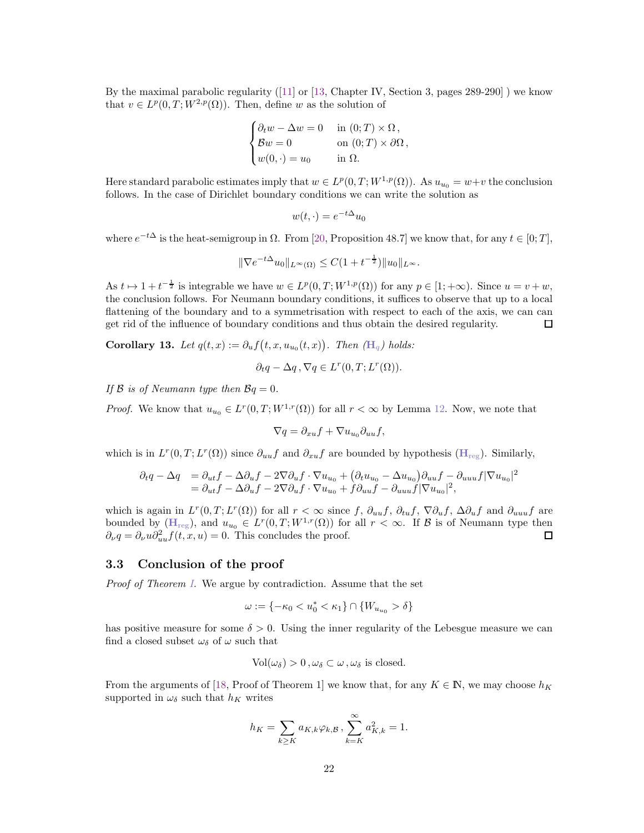By the maximal parabolic regularity ([\[11\]](#page-26-10) or [\[13,](#page-26-11) Chapter IV, Section 3, pages 289-290] ) we know that  $v \in L^p(0,T;W^{2,p}(\Omega))$ . Then, define w as the solution of

$$
\begin{cases} \partial_t w - \Delta w = 0 & \text{in } (0; T) \times \Omega, \\ \mathcal{B}w = 0 & \text{on } (0; T) \times \partial\Omega, \\ w(0, \cdot) = u_0 & \text{in } \Omega. \end{cases}
$$

Here standard parabolic estimates imply that  $w \in L^p(0,T;W^{1,p}(\Omega))$ . As  $u_{u_0} = w+v$  the conclusion follows. In the case of Dirichlet boundary conditions we can write the solution as

$$
w(t,\cdot) = e^{-t\Delta}u_0
$$

where  $e^{-t\Delta}$  is the heat-semigroup in  $\Omega$ . From [\[20,](#page-26-12) Proposition 48.7] we know that, for any  $t \in [0; T]$ ,

$$
\|\nabla e^{-t\Delta}u_0\|_{L^{\infty}(\Omega)} \leq C(1+t^{-\frac{1}{2}})\|u_0\|_{L^{\infty}}.
$$

As  $t \mapsto 1 + t^{-\frac{1}{2}}$  is integrable we have  $w \in L^p(0,T;W^{1,p}(\Omega))$  for any  $p \in [1; +\infty)$ . Since  $u = v + w$ , the conclusion follows. For Neumann boundary conditions, it suffices to observe that up to a local flattening of the boundary and to a symmetrisation with respect to each of the axis, we can can get rid of the influence of boundary conditions and thus obtain the desired regularity. □

Corollary 13. Let  $q(t,x) := \partial_u f(t,x, u_{u_0}(t,x))$ . Then  $(\mathbb{H}_q)$  $(\mathbb{H}_q)$  $(\mathbb{H}_q)$  holds:

$$
\partial_t q - \Delta q, \nabla q \in L^r(0, T; L^r(\Omega)).
$$

If  $\beta$  is of Neumann type then  $\beta q = 0$ .

*Proof.* We know that  $u_{u_0} \in L^r(0,T;W^{1,r}(\Omega))$  for all  $r < \infty$  by Lemma [12.](#page-20-0) Now, we note that

$$
\nabla q = \partial_{xu} f + \nabla u_{u_0} \partial_{uu} f,
$$

which is in  $L^r(0,T;L^r(\Omega))$  since  $\partial_{uu}f$  and  $\partial_{xu}f$  are bounded by hypothesis ( $\mathbf{H}_{reg}$  $\mathbf{H}_{reg}$  $\mathbf{H}_{reg}$ ). Similarly,

$$
\partial_t q - \Delta q = \partial_{ut} f - \Delta \partial_u f - 2 \nabla \partial_u f \cdot \nabla u_{u_0} + (\partial_t u_{u_0} - \Delta u_{u_0}) \partial_{uu} f - \partial_{uuu} f |\nabla u_{u_0}|^2 \n= \partial_{ut} f - \Delta \partial_u f - 2 \nabla \partial_u f \cdot \nabla u_{u_0} + f \partial_{uu} f - \partial_{uuu} f |\nabla u_{u_0}|^2,
$$

which is again in  $L^r(0,T;L^r(\Omega))$  for all  $r < \infty$  since f,  $\partial_{uu} f$ ,  $\partial_{tu} f$ ,  $\nabla \partial_u f$ ,  $\Delta \partial_u f$  and  $\partial_{uu} u f$  are bounded by  $(H_{reg})$  $(H_{reg})$  $(H_{reg})$ , and  $u_{u_0} \in L^r(0,T;W^{1,r}(\Omega))$  for all  $r < \infty$ . If  $\mathcal B$  is of Neumann type then  $\partial_{\nu}q = \partial_{\nu}u \partial_{uu}^2 f(t, x, u) = 0$ . This concludes the proof. □

#### 3.3 Conclusion of the proof

Proof of Theorem [I.](#page-3-0) We argue by contradiction. Assume that the set

$$
\omega:=\{-\kappa_0\delta\}
$$

has positive measure for some  $\delta > 0$ . Using the inner regularity of the Lebesgue measure we can find a closed subset  $\omega_{\delta}$  of  $\omega$  such that

$$
Vol(\omega_{\delta}) > 0, \omega_{\delta} \subset \omega, \omega_{\delta} \text{ is closed.}
$$

From the arguments of [\[18,](#page-26-4) Proof of Theorem 1] we know that, for any  $K \in \mathbb{N}$ , we may choose  $h_K$ supported in  $\omega_{\delta}$  such that  $h_K$  writes

$$
h_K = \sum_{k \ge K} a_{K,k} \varphi_{k,\mathcal{B}}, \sum_{k=K}^{\infty} a_{K,k}^2 = 1.
$$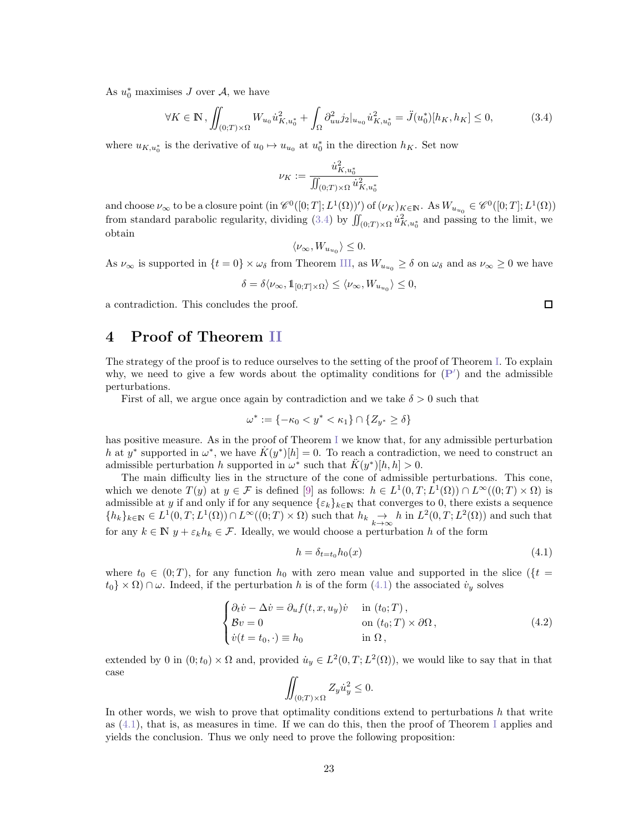As  $u_0^*$  maximises J over A, we have

<span id="page-22-0"></span>
$$
\forall K \in \mathbb{N}, \iint_{(0;T)\times\Omega} W_{u_0} \dot{u}_{K, u_0^*}^2 + \int_{\Omega} \partial_{uu}^2 j_2 |_{u_{u_0}} \dot{u}_{K, u_0^*}^2 = \ddot{J}(u_0^*) [h_K, h_K] \le 0,
$$
 (3.4)

where  $u_{K,u_0^*}$  is the derivative of  $u_0 \mapsto u_{u_0}$  at  $u_0^*$  in the direction  $h_K$ . Set now

$$
\nu_K := \frac{\dot{u}_{K,u_0^*}^2}{\iint_{(0;T)\times\Omega} \dot{u}_{K,u_0^*}^2}
$$

and choose  $\nu_{\infty}$  to be a closure point  $(\text{in } \mathscr{C}^0([0; T]; L^1(\Omega))')$  of  $(\nu_K)_{K \in \mathbb{N}}$ . As  $W_{u_{u_0}} \in \mathscr{C}^0([0; T]; L^1(\Omega))$ from standard parabolic regularity, dividing [\(3.4\)](#page-22-0) by  $\iint_{(0;T)\times\Omega} \dot{u}_{K,u_0^*}^2$  and passing to the limit, we obtain

$$
\langle \nu_{\infty}, W_{u_{u_0}} \rangle \leq 0.
$$

As  $\nu_{\infty}$  is supported in  $\{t=0\}\times\omega_{\delta}$  from Theorem [III,](#page-6-0) as  $W_{u_{u_{\alpha}}}\geq\delta$  on  $\omega_{\delta}$  and as  $\nu_{\infty}\geq0$  we have

$$
\delta=\delta\langle\nu_{\infty},1\!\!1_{[0;T]\times\Omega}\rangle\leq\langle\nu_{\infty},W_{u_{u_0}}\rangle\leq 0,
$$

a contradiction. This concludes the proof.

# 4 Proof of Theorem [II](#page-5-1)

The strategy of the proof is to reduce ourselves to the setting of the proof of Theorem [I.](#page-3-0) To explain why, we need to give a few words about the optimality conditions for  $(P')$  $(P')$  $(P')$  and the admissible perturbations.

First of all, we argue once again by contradiction and we take  $\delta > 0$  such that

$$
\omega^* := \{-\kappa_0 < y^* < \kappa_1\} \cap \{Z_{y^*} \ge \delta\}
$$

has positive measure. As in the proof of Theorem [I](#page-3-0) we know that, for any admissible perturbation h at y<sup>\*</sup> supported in  $\omega^*$ , we have  $\dot{K}(y^*)[h] = 0$ . To reach a contradiction, we need to construct an admissible perturbation h supported in  $\omega^*$  such that  $\ddot{K}(y^*)[h,h] > 0$ .

The main difficulty lies in the structure of the cone of admissible perturbations. This cone, which we denote  $T(y)$  at  $y \in \mathcal{F}$  is defined [\[9\]](#page-26-13) as follows:  $h \in L^1(0,T; L^1(\Omega)) \cap L^{\infty}((0,T) \times \Omega)$  is admissible at y if and only if for any sequence  $\{\varepsilon_k\}_{k\in\mathbb{N}}$  that converges to 0, there exists a sequence  ${k_k}_{k\in\mathbb{N}} \in L^1(0,T;L^1(\Omega)) \cap L^\infty((0,T)\times\Omega)$  such that  $h_k \underset{k\to\infty}{\to} h$  in  $L^2(0,T;L^2(\Omega))$  and such that for any  $k \in \mathbb{N}$   $y + \varepsilon_k h_k \in \mathcal{F}$ . Ideally, we would choose a perturbation h of the form

<span id="page-22-1"></span>
$$
h = \delta_{t=t_0} h_0(x) \tag{4.1}
$$

where  $t_0 \in (0; T)$ , for any function  $h_0$  with zero mean value and supported in the slice ( $\{t =$  $t_0 \times \Omega$ )  $\cap \omega$ . Indeed, if the perturbation h is of the form [\(4.1\)](#page-22-1) the associated  $\dot{v}_y$  solves

<span id="page-22-2"></span>
$$
\begin{cases}\n\partial_t \dot{v} - \Delta \dot{v} = \partial_u f(t, x, u_y) \dot{v} & \text{in } (t_0; T), \\
\mathcal{B}v = 0 & \text{on } (t_0; T) \times \partial \Omega, \\
\dot{v}(t = t_0, \cdot) \equiv h_0 & \text{in } \Omega,\n\end{cases}
$$
\n(4.2)

extended by 0 in  $(0; t_0) \times \Omega$  and, provided  $\dot{u}_y \in L^2(0,T; L^2(\Omega))$ , we would like to say that in that case

$$
\iint_{(0,T)\times\Omega} Z_y \dot{u}_y^2 \le 0.
$$

In other words, we wish to prove that optimality conditions extend to perturbations  $h$  that write as  $(4.1)$ , that is, as measures in time. [I](#page-3-0)f we can do this, then the proof of Theorem I applies and yields the conclusion. Thus we only need to prove the following proposition:

 $\Box$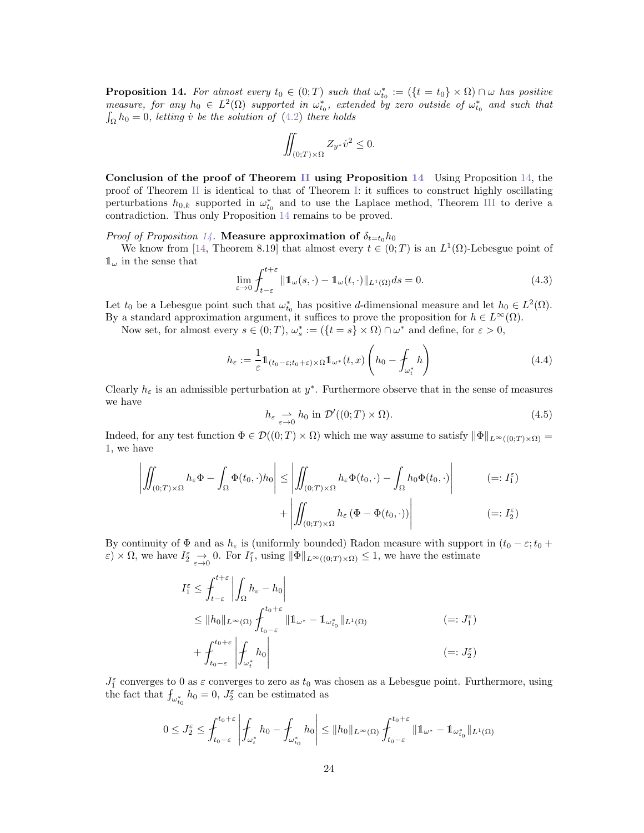<span id="page-23-0"></span>**Proposition 14.** For almost every  $t_0 \in (0;T)$  such that  $\omega_{t_0}^* := (\{t = t_0\} \times \Omega) \cap \omega$  has positive measure, for any  $h_0 \in L^2(\Omega)$  supported in  $\omega_{t_0}^*$ , extended by zero outside of  $\omega_{t_0}^*$  and such that  $\int_{\Omega} h_0 = 0$ , letting v be the solution of  $(4.2)$  there holds

$$
\iint_{(0;T)\times\Omega} Z_{y^*} \dot{v}^2 \le 0.
$$

Conclusion of the proof of Theorem [II](#page-5-1) using Proposition [14](#page-23-0) Using Proposition [14,](#page-23-0) the proof of Theorem [II](#page-5-1) is identical to that of Theorem [I:](#page-3-0) it suffices to construct highly oscillating perturbations  $h_{0,k}$  supported in  $\omega_{t_0}^*$  and to use the Laplace method, Theorem [III](#page-6-0) to derive a contradiction. Thus only Proposition [14](#page-23-0) remains to be proved.

*Proof of Proposition [14.](#page-23-0)* Measure approximation of  $\delta_{t=t_0} h_0$ 

We know from [\[14,](#page-26-14) Theorem 8.19] that almost every  $t \in (0,T)$  is an  $L^1(\Omega)$ -Lebesgue point of  $\mathbb{1}_{\omega}$  in the sense that

$$
\lim_{\varepsilon \to 0} \int_{t-\varepsilon}^{t+\varepsilon} \|1\omega(s,\cdot) - 1\omega(t,\cdot)\|_{L^1(\Omega)} ds = 0.
$$
\n(4.3)

Let  $t_0$  be a Lebesgue point such that  $\omega_{t_0}^*$  has positive d-dimensional measure and let  $h_0 \in L^2(\Omega)$ . By a standard approximation argument, it suffices to prove the proposition for  $h \in L^{\infty}(\Omega)$ .

Now set, for almost every  $s \in (0;T)$ ,  $\omega_s^* := (\{t = s\} \times \Omega) \cap \omega^*$  and define, for  $\varepsilon > 0$ ,

$$
h_{\varepsilon} := \frac{1}{\varepsilon} \mathbb{1}_{(t_0 - \varepsilon; t_0 + \varepsilon) \times \Omega} \mathbb{1}_{\omega^*}(t, x) \left( h_0 - \int_{\omega_t^*} h \right)
$$
(4.4)

Clearly  $h_{\varepsilon}$  is an admissible perturbation at  $y^*$ . Furthermore observe that in the sense of measures we have

$$
h_{\varepsilon} \underset{\varepsilon \to 0}{\rightharpoonup} h_0 \text{ in } \mathcal{D}'((0;T) \times \Omega). \tag{4.5}
$$

Indeed, for any test function  $\Phi \in \mathcal{D}((0;T) \times \Omega)$  which me way assume to satisfy  $\|\Phi\|_{L^{\infty}((0;T) \times \Omega)} =$ 1, we have

$$
\left| \iint_{(0;T)\times\Omega} h_{\varepsilon} \Phi - \int_{\Omega} \Phi(t_0, \cdot) h_0 \right| \le \left| \iint_{(0;T)\times\Omega} h_{\varepsilon} \Phi(t_0, \cdot) - \int_{\Omega} h_0 \Phi(t_0, \cdot) \right| \qquad (=: I_1^{\varepsilon})
$$
  
+ 
$$
\left| \iint_{(0;T)\times\Omega} h_{\varepsilon} (\Phi - \Phi(t_0, \cdot)) \right| \qquad (= : I_2^{\varepsilon})
$$

By continuity of  $\Phi$  and as  $h_{\varepsilon}$  is (uniformly bounded) Radon measure with support in  $(t_0 - \varepsilon; t_0 +$  $\varepsilon$ )  $\times \Omega$ , we have  $I_2^{\varepsilon} \to 0$ . For  $I_1^{\varepsilon}$ , using  $||\Phi||_{L^{\infty}((0;T)\times\Omega)} \leq 1$ , we have the estimate

$$
I_1^{\varepsilon} \leq \int_{t-\varepsilon}^{t+\varepsilon} \left| \int_{\Omega} h_{\varepsilon} - h_0 \right|
$$
  
\n
$$
\leq \|h_0\|_{L^{\infty}(\Omega)} \int_{t_0-\varepsilon}^{t_0+\varepsilon} \|1\|_{\omega^*} - 1\|_{\omega_{t_0}^*} \|_{L^1(\Omega)}
$$
  
\n
$$
+ \int_{t_0-\varepsilon}^{t_0+\varepsilon} \left| \int_{\omega_t^*} h_0 \right| \qquad \qquad (=:J_2^{\varepsilon})
$$

 $J_1^{\varepsilon}$  converges to 0 as  $\varepsilon$  converges to zero as  $t_0$  was chosen as a Lebesgue point. Furthermore, using the fact that  $f_{\omega_{t_0}^*} h_0 = 0$ ,  $J_2^{\varepsilon}$  can be estimated as

$$
0 \leq J_2^{\varepsilon} \leq \int_{t_0-\varepsilon}^{t_0+\varepsilon} \left| \int_{\omega_t^*} h_0 - \int_{\omega_{t_0}^*} h_0 \right| \leq \|h_0\|_{L^{\infty}(\Omega)} \int_{t_0-\varepsilon}^{t_0+\varepsilon} \|1\|_{\omega^*} - 1\|_{\omega_{t_0}^*} \|_{L^1(\Omega)}
$$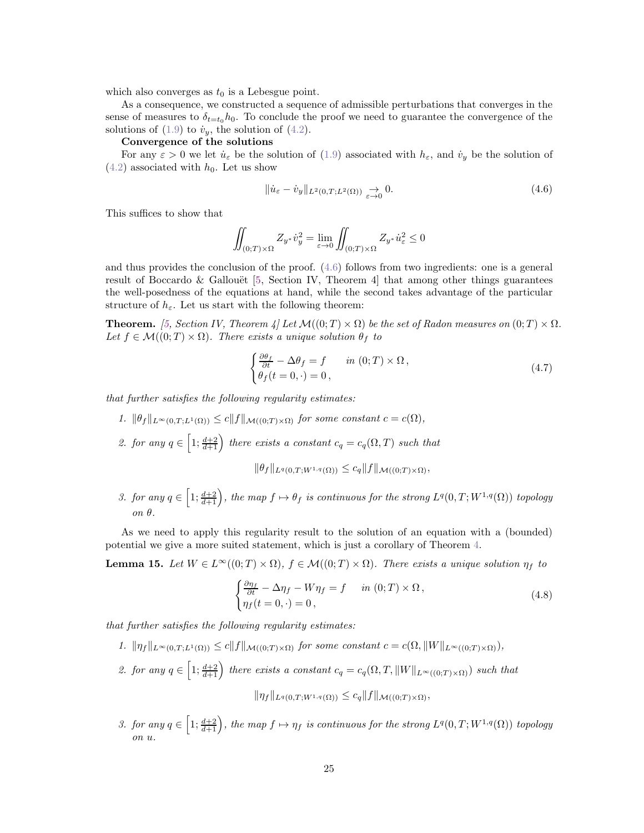which also converges as  $t_0$  is a Lebesgue point.

As a consequence, we constructed a sequence of admissible perturbations that converges in the sense of measures to  $\delta_{t=t_0} h_0$ . To conclude the proof we need to guarantee the convergence of the solutions of  $(1.9)$  to  $\dot{v}_y$ , the solution of  $(4.2)$ .

#### Convergence of the solutions

For any  $\varepsilon > 0$  we let  $\dot{u}_{\varepsilon}$  be the solution of [\(1.9\)](#page-5-2) associated with  $h_{\varepsilon}$ , and  $\dot{v}_y$  be the solution of  $(4.2)$  associated with  $h_0$ . Let us show

<span id="page-24-1"></span>
$$
\|\dot{u}_{\varepsilon} - \dot{v}_y\|_{L^2(0,T;L^2(\Omega))} \to 0.
$$
\n(4.6)

This suffices to show that

$$
\iint_{(0;T)\times\Omega} Z_{y^*} \dot{v}_y^2 = \lim_{\varepsilon \to 0} \iint_{(0;T)\times\Omega} Z_{y^*} \dot{u}_\varepsilon^2 \le 0
$$

and thus provides the conclusion of the proof. [\(4.6\)](#page-24-1) follows from two ingredients: one is a general result of Boccardo & Gallouët  $[5, \text{ Section IV}, \text{ Theorem 4}]$  that among other things guarantees the well-posedness of the equations at hand, while the second takes advantage of the particular structure of  $h_{\varepsilon}$ . Let us start with the following theorem:

**Theorem.** [\[5,](#page-25-7) Section IV, Theorem 4] Let  $\mathcal{M}((0;T) \times \Omega)$  be the set of Radon measures on  $(0;T) \times \Omega$ . Let  $f \in \mathcal{M}((0;T) \times \Omega)$ . There exists a unique solution  $\theta_f$  to

<span id="page-24-0"></span>
$$
\begin{cases} \frac{\partial \theta_f}{\partial t} - \Delta \theta_f = f & \text{in } (0;T) \times \Omega, \\ \theta_f(t=0,\cdot) = 0, \end{cases}
$$
 (4.7)

that further satisfies the following regularity estimates:

- 1.  $\|\theta_f\|_{L^{\infty}(0,T;L^1(\Omega))} \leq c \|f\|_{\mathcal{M}((0,T)\times\Omega)}$  for some constant  $c = c(\Omega)$ ,
- 2. for any  $q \in \left[1; \frac{d+2}{d+1}\right)$  there exists a constant  $c_q = c_q(\Omega, T)$  such that

$$
\|\theta_f\|_{L^q(0,T;W^{1,q}(\Omega))} \leq c_q \|f\|_{\mathcal{M}((0;T)\times\Omega)},
$$

3. for any  $q \in \left[1; \frac{d+2}{d+1}\right)$ , the map  $f \mapsto \theta_f$  is continuous for the strong  $L^q(0,T;W^{1,q}(\Omega))$  topology on θ.

As we need to apply this regularity result to the solution of an equation with a (bounded) potential we give a more suited statement, which is just a corollary of Theorem [4.](#page-24-1)

<span id="page-24-2"></span>**Lemma 15.** Let  $W \in L^{\infty}((0; T) \times \Omega)$ ,  $f \in \mathcal{M}((0; T) \times \Omega)$ . There exists a unique solution  $\eta_f$  to

<span id="page-24-3"></span>
$$
\begin{cases} \frac{\partial \eta_f}{\partial t} - \Delta \eta_f - W \eta_f = f & \text{in } (0;T) \times \Omega, \\ \eta_f(t=0,\cdot) = 0, \end{cases}
$$
\n(4.8)

that further satisfies the following regularity estimates:

- 1.  $\|\eta_f\|_{L^{\infty}(0,T;L^1(\Omega))} \leq c \|f\|_{\mathcal{M}((0,T)\times\Omega)}$  for some constant  $c = c(\Omega, \|W\|_{L^{\infty}((0,T)\times\Omega)})$ ,
- 2. for any  $q \in \left[1; \frac{d+2}{d+1}\right)$  there exists a constant  $c_q = c_q(\Omega, T, ||W||_{L^{\infty}((0,T)\times\Omega)})$  such that  $\|\eta_f\|_{L^q(0,T;W^{1,q}(\Omega))} \leq c_q \|f\|_{\mathcal{M}((0;T)\times\Omega)},$
- 3. for any  $q \in \left[1; \frac{d+2}{d+1}\right)$ , the map  $f \mapsto \eta_f$  is continuous for the strong  $L^q(0,T;W^{1,q}(\Omega))$  topology on u.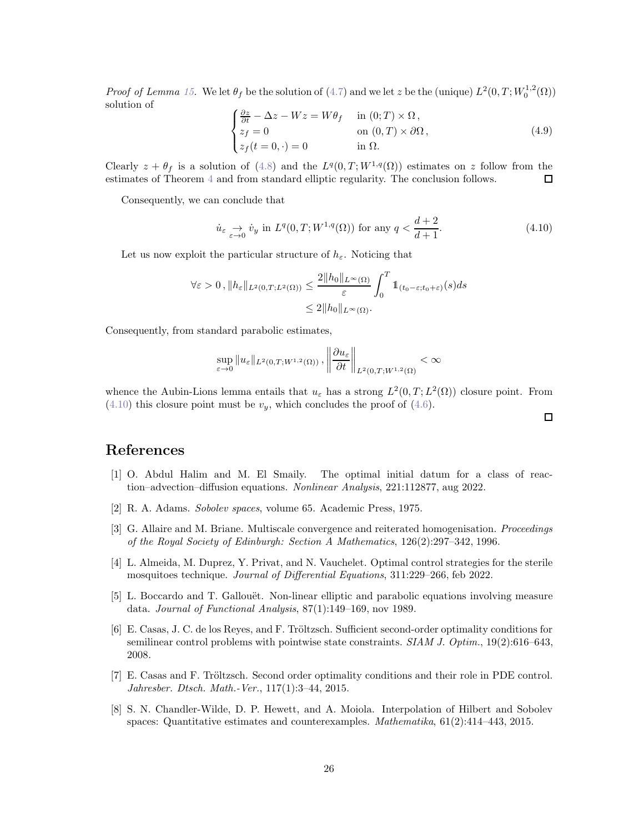*Proof of Lemma [15.](#page-24-2)* We let  $\theta_f$  be the solution of [\(4.7\)](#page-24-0) and we let z be the (unique)  $L^2(0,T;W_0^{1,2}(\Omega))$ solution of

$$
\begin{cases}\n\frac{\partial z}{\partial t} - \Delta z - Wz = W\theta_f & \text{in } (0;T) \times \Omega, \\
z_f = 0 & \text{on } (0,T) \times \partial\Omega, \\
z_f(t = 0, \cdot) = 0 & \text{in } \Omega.\n\end{cases}
$$
\n(4.9)

Clearly  $z + \theta_f$  is a solution of [\(4.8\)](#page-24-3) and the  $L^q(0,T;W^{1,q}(\Omega))$  estimates on z follow from the estimates of Theorem [4](#page-24-1) and from standard elliptic regularity. The conclusion follows. □

Consequently, we can conclude that

<span id="page-25-8"></span>
$$
\dot{u}_{\varepsilon} \underset{\varepsilon \to 0}{\to} \dot{v}_y \text{ in } L^q(0, T; W^{1,q}(\Omega)) \text{ for any } q < \frac{d+2}{d+1}.\tag{4.10}
$$

Let us now exploit the particular structure of  $h_{\varepsilon}$ . Noticing that

$$
\forall \varepsilon > 0, \|h_{\varepsilon}\|_{L^{2}(0,T;L^{2}(\Omega))} \le \frac{2\|h_{0}\|_{L^{\infty}(\Omega)}}{\varepsilon} \int_{0}^{T} 1\!\!1_{(t_{0}-\varepsilon;t_{0}+\varepsilon)}(s)ds
$$
  

$$
\le 2\|h_{0}\|_{L^{\infty}(\Omega)}.
$$

Consequently, from standard parabolic estimates,

$$
\sup_{\varepsilon \to 0} \|u_{\varepsilon}\|_{L^{2}(0,T;W^{1,2}(\Omega))}, \left\|\frac{\partial u_{\varepsilon}}{\partial t}\right\|_{L^{2}(0,T;W^{1,2}(\Omega))} < \infty
$$

whence the Aubin-Lions lemma entails that  $u_{\varepsilon}$  has a strong  $L^2(0,T;L^2(\Omega))$  closure point. From  $(4.10)$  this closure point must be  $v_y$ , which concludes the proof of  $(4.6)$ .

# <span id="page-25-1"></span>References

- [1] O. Abdul Halim and M. El Smaily. The optimal initial datum for a class of reaction–advection–diffusion equations. Nonlinear Analysis, 221:112877, aug 2022.
- <span id="page-25-5"></span><span id="page-25-2"></span>[2] R. A. Adams. Sobolev spaces, volume 65. Academic Press, 1975.
- [3] G. Allaire and M. Briane. Multiscale convergence and reiterated homogenisation. Proceedings of the Royal Society of Edinburgh: Section A Mathematics, 126(2):297–342, 1996.
- <span id="page-25-3"></span>[4] L. Almeida, M. Duprez, Y. Privat, and N. Vauchelet. Optimal control strategies for the sterile mosquitoes technique. Journal of Differential Equations, 311:229–266, feb 2022.
- <span id="page-25-7"></span>[5] L. Boccardo and T. Gallouët. Non-linear elliptic and parabolic equations involving measure data. Journal of Functional Analysis, 87(1):149–169, nov 1989.
- <span id="page-25-4"></span>[6] E. Casas, J. C. de los Reyes, and F. Tröltzsch. Sufficient second-order optimality conditions for semilinear control problems with pointwise state constraints. SIAM J. Optim., 19(2):616-643, 2008.
- <span id="page-25-0"></span>[7] E. Casas and F. Tröltzsch. Second order optimality conditions and their role in PDE control. Jahresber. Dtsch. Math.-Ver., 117(1):3–44, 2015.
- <span id="page-25-6"></span>[8] S. N. Chandler-Wilde, D. P. Hewett, and A. Moiola. Interpolation of Hilbert and Sobolev spaces: Quantitative estimates and counterexamples. Mathematika, 61(2):414–443, 2015.